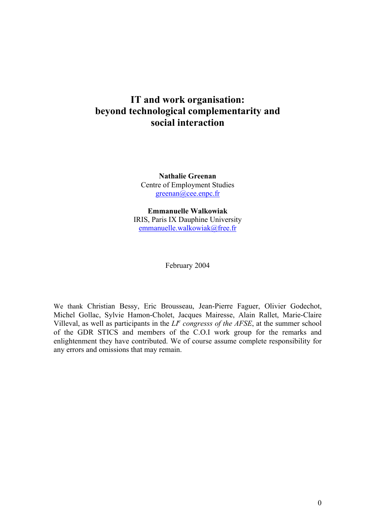# **IT and work organisation: beyond technological complementarity and social interaction**

**Nathalie Greenan**  Centre of Employment Studies greenan@cee.enpc.fr

**Emmanuelle Walkowiak**  IRIS, Paris IX Dauphine University emmanuelle.walkowiak@free.fr

February 2004

We thank Christian Bessy, Eric Brousseau, Jean-Pierre Faguer, Olivier Godechot, Michel Gollac, Sylvie Hamon-Cholet, Jacques Mairesse, Alain Rallet, Marie-Claire Villeval, as well as participants in the  $LI^e$  congresss of the AFSE, at the summer school of the GDR STICS and members of the C.O.I work group for the remarks and enlightenment they have contributed. We of course assume complete responsibility for any errors and omissions that may remain.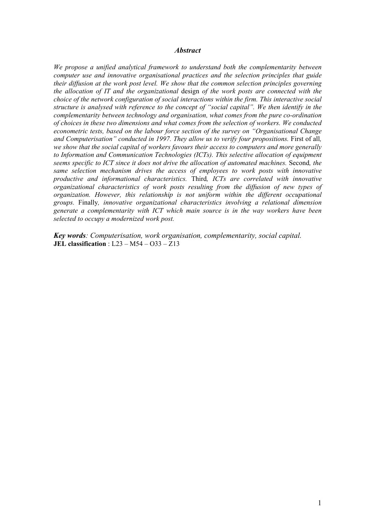#### *Abstract*

*We propose a unified analytical framework to understand both the complementarity between computer use and innovative organisational practices and the selection principles that guide their diffusion at the work post level. We show that the common selection principles governing the allocation of IT and the organizational* design *of the work posts are connected with the choice of the network configuration of social interactions within the firm. This interactive social structure is analysed with reference to the concept of "social capital". We then identify in the complementarity between technology and organisation, what comes from the pure co-ordination of choices in these two dimensions and what comes from the selection of workers. We conducted econometric tests, based on the labour force section of the survey on "Organisational Change and Computerisation" conducted in 1997. They allow us to verify four propositions.* First of all*, we show that the social capital of workers favours their access to computers and more generally to Information and Communication Technologies (ICTs). This selective allocation of equipment seems specific to ICT since it does not drive the allocation of automated machines.* Second*, the same selection mechanism drives the access of employees to work posts with innovative productive and informational characteristics.* Third*, ICTs are correlated with innovative organizational characteristics of work posts resulting from the diffusion of new types of organization. However, this relationship is not uniform within the different occupational groups.* Finally*, innovative organizational characteristics involving a relational dimension generate a complementarity with ICT which main source is in the way workers have been selected to occupy a modernized work post.* 

*Key words: Computerisation, work organisation, complementarity, social capital.*  **JEL classification** : L23 – M54 – O33 – Z13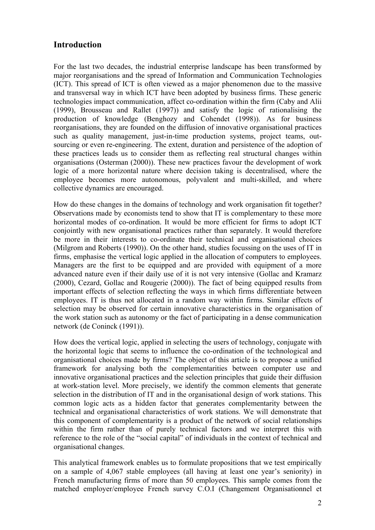# **Introduction**

For the last two decades, the industrial enterprise landscape has been transformed by major reorganisations and the spread of Information and Communication Technologies (ICT). This spread of ICT is often viewed as a major phenomenon due to the massive and transversal way in which ICT have been adopted by business firms. These generic technologies impact communication, affect co-ordination within the firm (Caby and Alii (1999), Brousseau and Rallet (1997)) and satisfy the logic of rationalising the production of knowledge (Benghozy and Cohendet (1998)). As for business reorganisations, they are founded on the diffusion of innovative organisational practices such as quality management, just-in-time production systems, project teams, outsourcing or even re-engineering. The extent, duration and persistence of the adoption of these practices leads us to consider them as reflecting real structural changes within organisations (Osterman (2000)). These new practices favour the development of work logic of a more horizontal nature where decision taking is decentralised, where the employee becomes more autonomous, polyvalent and multi-skilled, and where collective dynamics are encouraged.

How do these changes in the domains of technology and work organisation fit together? Observations made by economists tend to show that IT is complementary to these more horizontal modes of co-ordination. It would be more efficient for firms to adopt ICT conjointly with new organisational practices rather than separately. It would therefore be more in their interests to co-ordinate their technical and organisational choices (Milgrom and Roberts (1990)). On the other hand, studies focussing on the uses of IT in firms, emphasise the vertical logic applied in the allocation of computers to employees. Managers are the first to be equipped and are provided with equipment of a more advanced nature even if their daily use of it is not very intensive (Gollac and Kramarz (2000), Cezard, Gollac and Rougerie (2000)). The fact of being equipped results from important effects of selection reflecting the ways in which firms differentiate between employees. IT is thus not allocated in a random way within firms. Similar effects of selection may be observed for certain innovative characteristics in the organisation of the work station such as autonomy or the fact of participating in a dense communication network (de Coninck (1991)).

How does the vertical logic, applied in selecting the users of technology, conjugate with the horizontal logic that seems to influence the co-ordination of the technological and organisational choices made by firms? The object of this article is to propose a unified framework for analysing both the complementarities between computer use and innovative organisational practices and the selection principles that guide their diffusion at work-station level. More precisely, we identify the common elements that generate selection in the distribution of IT and in the organisational design of work stations. This common logic acts as a hidden factor that generates complementarity between the technical and organisational characteristics of work stations. We will demonstrate that this component of complementarity is a product of the network of social relationships within the firm rather than of purely technical factors and we interpret this with reference to the role of the "social capital" of individuals in the context of technical and organisational changes.

This analytical framework enables us to formulate propositions that we test empirically on a sample of 4,067 stable employees (all having at least one year's seniority) in French manufacturing firms of more than 50 employees. This sample comes from the matched employer/employee French survey C.O.I (Changement Organisationnel et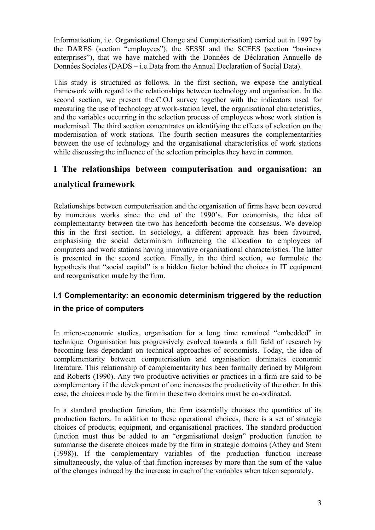Informatisation, i.e. Organisational Change and Computerisation) carried out in 1997 by the DARES (section "employees"), the SESSI and the SCEES (section "business enterprises"), that we have matched with the Données de Déclaration Annuelle de Données Sociales (DADS – i.e.Data from the Annual Declaration of Social Data).

This study is structured as follows. In the first section, we expose the analytical framework with regard to the relationships between technology and organisation. In the second section, we present the.C.O.I survey together with the indicators used for measuring the use of technology at work-station level, the organisational characteristics, and the variables occurring in the selection process of employees whose work station is modernised. The third section concentrates on identifying the effects of selection on the modernisation of work stations. The fourth section measures the complementarities between the use of technology and the organisational characteristics of work stations while discussing the influence of the selection principles they have in common.

# **I The relationships between computerisation and organisation: an**

# **analytical framework**

Relationships between computerisation and the organisation of firms have been covered by numerous works since the end of the 1990's. For economists, the idea of complementarity between the two has henceforth become the consensus. We develop this in the first section. In sociology, a different approach has been favoured, emphasising the social determinism influencing the allocation to employees of computers and work stations having innovative organisational characteristics. The latter is presented in the second section. Finally, in the third section, we formulate the hypothesis that "social capital" is a hidden factor behind the choices in IT equipment and reorganisation made by the firm.

# **I.1 Complementarity: an economic determinism triggered by the reduction**

# **in the price of computers**

In micro-economic studies, organisation for a long time remained "embedded" in technique. Organisation has progressively evolved towards a full field of research by becoming less dependant on technical approaches of economists. Today, the idea of complementarity between computerisation and organisation dominates economic literature. This relationship of complementarity has been formally defined by Milgrom and Roberts (1990). Any two productive activities or practices in a firm are said to be complementary if the development of one increases the productivity of the other. In this case, the choices made by the firm in these two domains must be co-ordinated.

In a standard production function, the firm essentially chooses the quantities of its production factors. In addition to these operational choices, there is a set of strategic choices of products, equipment, and organisational practices. The standard production function must thus be added to an "organisational design" production function to summarise the discrete choices made by the firm in strategic domains (Athey and Stern (1998)). If the complementary variables of the production function increase simultaneously, the value of that function increases by more than the sum of the value of the changes induced by the increase in each of the variables when taken separately.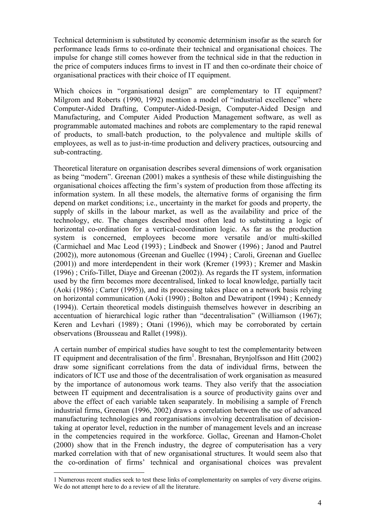Technical determinism is substituted by economic determinism insofar as the search for performance leads firms to co-ordinate their technical and organisational choices. The impulse for change still comes however from the technical side in that the reduction in the price of computers induces firms to invest in IT and then co-ordinate their choice of organisational practices with their choice of IT equipment.

Which choices in "organisational design" are complementary to IT equipment? Milgrom and Roberts (1990, 1992) mention a model of "industrial excellence" where Computer-Aided Drafting, Computer-Aided-Design, Computer-Aided Design and Manufacturing, and Computer Aided Production Management software, as well as programmable automated machines and robots are complementary to the rapid renewal of products, to small-batch production, to the polyvalence and multiple skills of employees, as well as to just-in-time production and delivery practices, outsourcing and sub-contracting.

Theoretical literature on organisation describes several dimensions of work organisation as being "modern". Greenan (2001) makes a synthesis of these while distinguishing the organisational choices affecting the firm's system of production from those affecting its information system. In all these models, the alternative forms of organising the firm depend on market conditions; i.e., uncertainty in the market for goods and property, the supply of skills in the labour market, as well as the availability and price of the technology, etc. The changes described most often lead to substituting a logic of horizontal co-ordination for a vertical-coordination logic. As far as the production system is concerned, employees become more versatile and/or multi-skilled (Carmichael and Mac Leod (1993) ; Lindbeck and Snower (1996) ; Janod and Pautrel (2002)), more autonomous (Greenan and Guellec (1994) ; Caroli, Greenan and Guellec (2001)) and more interdependent in their work (Kremer (1993) ; Kremer and Maskin (1996) ; Crifo-Tillet, Diaye and Greenan (2002)). As regards the IT system, information used by the firm becomes more decentralised, linked to local knowledge, partially tacit (Aoki (1986) ; Carter (1995)), and its processing takes place on a network basis relying on horizontal communication (Aoki (1990) ; Bolton and Dewatripont (1994) ; Kennedy (1994)). Certain theoretical models distinguish themselves however in describing an accentuation of hierarchical logic rather than "decentralisation" (Williamson (1967); Keren and Levhari (1989) ; Otani (1996)), which may be corroborated by certain observations (Brousseau and Rallet (1998)).

A certain number of empirical studies have sought to test the complementarity between IT equipment and decentralisation of the firm<sup>1</sup>. Bresnahan, Brynjolfsson and Hitt (2002) draw some significant correlations from the data of individual firms, between the indicators of ICT use and those of the decentralisation of work organisation as measured by the importance of autonomous work teams. They also verify that the association between IT equipment and decentralisation is a source of productivity gains over and above the effect of each variable taken seaparately. In mobilising a sample of French industrial firms, Greenan (1996, 2002) draws a correlation between the use of advanced manufacturing technologies and reorganisations involving decentralisation of decisiontaking at operator level, reduction in the number of management levels and an increase in the competencies required in the workforce. Gollac, Greenan and Hamon-Cholet (2000) show that in the French industry, the degree of computerisation has a very marked correlation with that of new organisational structures. It would seem also that the co-ordination of firms' technical and organisational choices was prevalent

 $\overline{a}$ 

<sup>1</sup> Numerous recent studies seek to test these links of complementarity on samples of very diverse origins. We do not attempt here to do a review of all the literature.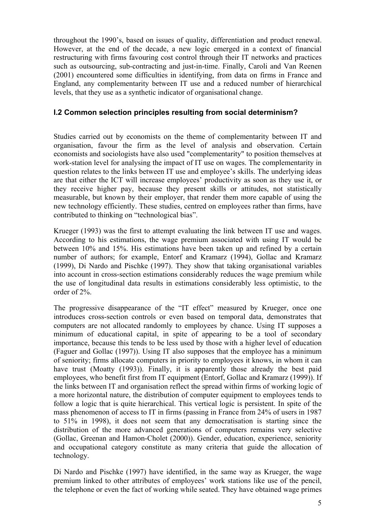throughout the 1990's, based on issues of quality, differentiation and product renewal. However, at the end of the decade, a new logic emerged in a context of financial restructuring with firms favouring cost control through their IT networks and practices such as outsourcing, sub-contracting and just-in-time. Finally, Caroli and Van Reenen (2001) encountered some difficulties in identifying, from data on firms in France and England, any complementarity between IT use and a reduced number of hierarchical levels, that they use as a synthetic indicator of organisational change.

# **I.2 Common selection principles resulting from social determinism?**

Studies carried out by economists on the theme of complementarity between IT and organisation, favour the firm as the level of analysis and observation. Certain economists and sociologists have also used "complementarity" to position themselves at work-station level for analysing the impact of IT use on wages. The complementarity in question relates to the links between IT use and employee's skills. The underlying ideas are that either the ICT will increase employees' productivity as soon as they use it, or they receive higher pay, because they present skills or attitudes, not statistically measurable, but known by their employer, that render them more capable of using the new technology efficiently. These studies, centred on employees rather than firms, have contributed to thinking on "technological bias".

Krueger (1993) was the first to attempt evaluating the link between IT use and wages. According to his estimations, the wage premium associated with using IT would be between 10% and 15%. His estimations have been taken up and refined by a certain number of authors; for example, Entorf and Kramarz (1994), Gollac and Kramarz (1999), Di Nardo and Pischke (1997). They show that taking organisational variables into account in cross-section estimations considerably reduces the wage premium while the use of longitudinal data results in estimations considerably less optimistic, to the order of 2%.

The progressive disappearance of the "IT effect" measured by Krueger, once one introduces cross-section controls or even based on temporal data, demonstrates that computers are not allocated randomly to employees by chance. Using IT supposes a minimum of educational capital, in spite of appearing to be a tool of secondary importance, because this tends to be less used by those with a higher level of education (Faguer and Gollac (1997)). Using IT also supposes that the employee has a minimum of seniority; firms allocate computers in priority to employees it knows, in whom it can have trust (Moatty (1993)). Finally, it is apparently those already the best paid employees, who benefit first from IT equipment (Entorf, Gollac and Kramarz (1999)). If the links between IT and organisation reflect the spread within firms of working logic of a more horizontal nature, the distribution of computer equipment to employees tends to follow a logic that is quite hierarchical. This vertical logic is persistent. In spite of the mass phenomenon of access to IT in firms (passing in France from 24% of users in 1987 to 51% in 1998), it does not seem that any democratisation is starting since the distribution of the more advanced generations of computers remains very selective (Gollac, Greenan and Hamon-Cholet (2000)). Gender, education, experience, seniority and occupational category constitute as many criteria that guide the allocation of technology.

Di Nardo and Pischke (1997) have identified, in the same way as Krueger, the wage premium linked to other attributes of employees' work stations like use of the pencil, the telephone or even the fact of working while seated. They have obtained wage primes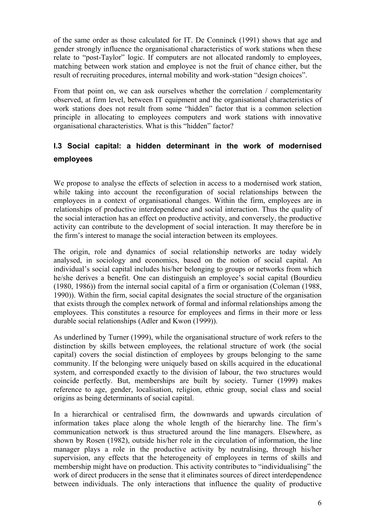of the same order as those calculated for IT. De Conninck (1991) shows that age and gender strongly influence the organisational characteristics of work stations when these relate to "post-Taylor" logic. If computers are not allocated randomly to employees, matching between work station and employee is not the fruit of chance either, but the result of recruiting procedures, internal mobility and work-station "design choices".

From that point on, we can ask ourselves whether the correlation / complementarity observed, at firm level, between IT equipment and the organisational characteristics of work stations does not result from some "hidden" factor that is a common selection principle in allocating to employees computers and work stations with innovative organisational characteristics. What is this "hidden" factor?

# **I.3 Social capital: a hidden determinant in the work of modernised employees**

We propose to analyse the effects of selection in access to a modernised work station, while taking into account the reconfiguration of social relationships between the employees in a context of organisational changes. Within the firm, employees are in relationships of productive interdependence and social interaction. Thus the quality of the social interaction has an effect on productive activity, and conversely, the productive activity can contribute to the development of social interaction. It may therefore be in the firm's interest to manage the social interaction between its employees.

The origin, role and dynamics of social relationship networks are today widely analysed, in sociology and economics, based on the notion of social capital. An individual's social capital includes his/her belonging to groups or networks from which he/she derives a benefit. One can distinguish an employee's social capital (Bourdieu (1980, 1986)) from the internal social capital of a firm or organisation (Coleman (1988, 1990)). Within the firm, social capital designates the social structure of the organisation that exists through the complex network of formal and informal relationships among the employees. This constitutes a resource for employees and firms in their more or less durable social relationships (Adler and Kwon (1999)).

As underlined by Turner (1999), while the organisational structure of work refers to the distinction by skills between employees, the relational structure of work (the social capital) covers the social distinction of employees by groups belonging to the same community. If the belonging were uniquely based on skills acquired in the educational system, and corresponded exactly to the division of labour, the two structures would coincide perfectly. But, memberships are built by society. Turner (1999) makes reference to age, gender, localisation, religion, ethnic group, social class and social origins as being determinants of social capital.

In a hierarchical or centralised firm, the downwards and upwards circulation of information takes place along the whole length of the hierarchy line. The firm's communication network is thus structured around the line managers. Elsewhere, as shown by Rosen (1982), outside his/her role in the circulation of information, the line manager plays a role in the productive activity by neutralising, through his/her supervision, any effects that the heterogeneity of employees in terms of skills and membership might have on production. This activity contributes to "individualising" the work of direct producers in the sense that it eliminates sources of direct interdependence between individuals. The only interactions that influence the quality of productive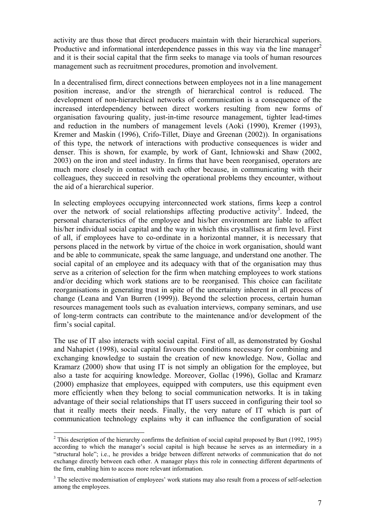activity are thus those that direct producers maintain with their hierarchical superiors. Productive and informational interdependence passes in this way via the line manager<sup>2</sup> and it is their social capital that the firm seeks to manage via tools of human resources management such as recruitment procedures, promotion and involvement.

In a decentralised firm, direct connections between employees not in a line management position increase, and/or the strength of hierarchical control is reduced. The development of non-hierarchical networks of communication is a consequence of the increased interdependency between direct workers resulting from new forms of organisation favouring quality, just-in-time resource management, tighter lead-times and reduction in the numbers of management levels (Aoki (1990), Kremer (1993), Kremer and Maskin (1996), Crifo-Tillet, Diaye and Greenan (2002)). In organisations of this type, the network of interactions with productive consequences is wider and denser. This is shown, for example, by work of Gant, Ichniowski and Shaw (2002, 2003) on the iron and steel industry. In firms that have been reorganised, operators are much more closely in contact with each other because, in communicating with their colleagues, they succeed in resolving the operational problems they encounter, without the aid of a hierarchical superior.

In selecting employees occupying interconnected work stations, firms keep a control over the network of social relationships affecting productive activity<sup>3</sup>. Indeed, the personal characteristics of the employee and his/her environment are liable to affect his/her individual social capital and the way in which this crystallises at firm level. First of all, if employees have to co-ordinate in a horizontal manner, it is necessary that persons placed in the network by virtue of the choice in work organisation, should want and be able to communicate, speak the same language, and understand one another. The social capital of an employee and its adequacy with that of the organisation may thus serve as a criterion of selection for the firm when matching employees to work stations and/or deciding which work stations are to be reorganised. This choice can facilitate reorganisations in generating trust in spite of the uncertainty inherent in all process of change (Leana and Van Burren (1999)). Beyond the selection process, certain human resources management tools such as evaluation interviews, company seminars, and use of long-term contracts can contribute to the maintenance and/or development of the firm's social capital.

The use of IT also interacts with social capital. First of all, as demonstrated by Goshal and Nahapiet (1998), social capital favours the conditions necessary for combining and exchanging knowledge to sustain the creation of new knowledge. Now, Gollac and Kramarz (2000) show that using IT is not simply an obligation for the employee, but also a taste for acquiring knowledge. Moreover, Gollac (1996), Gollac and Kramarz (2000) emphasize that employees, equipped with computers, use this equipment even more efficiently when they belong to social communication networks. It is in taking advantage of their social relationships that IT users succeed in configuring their tool so that it really meets their needs. Finally, the very nature of IT which is part of communication technology explains why it can influence the configuration of social

 $\overline{a}$ 

<sup>&</sup>lt;sup>2</sup> This description of the hierarchy confirms the definition of social capital proposed by Burt (1992, 1995) according to which the manager's social capital is high because he serves as an intermediary in a "structural hole"; i.e., he provides a bridge between different networks of communication that do not exchange directly between each other. A manager plays this role in connecting different departments of the firm, enabling him to access more relevant information.

<sup>&</sup>lt;sup>3</sup> The selective modernisation of employees' work stations may also result from a process of self-selection among the employees.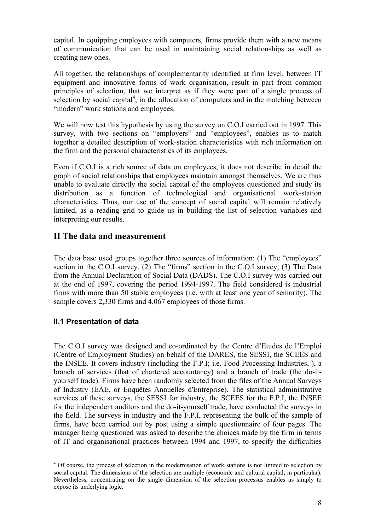capital. In equipping employees with computers, firms provide them with a new means of communication that can be used in maintaining social relationships as well as creating new ones.

All together, the relationships of complementarity identified at firm level, between IT equipment and innovative forms of work organisation, result in part from common principles of selection, that we interpret as if they were part of a single process of selection by social capital<sup>4</sup>, in the allocation of computers and in the matching between "modern" work stations and employees.

We will now test this hypothesis by using the survey on C.O.I carried out in 1997. This survey, with two sections on "employers" and "employees", enables us to match together a detailed description of work-station characteristics with rich information on the firm and the personal characteristics of its employees.

Even if C.O.I is a rich source of data on employees, it does not describe in detail the graph of social relationships that employees maintain amongst themselves. We are thus unable to evaluate directly the social capital of the employees questioned and study its distribution as a function of technological and organisational work-station characteristics. Thus, our use of the concept of social capital will remain relatively limited, as a reading grid to guide us in building the list of selection variables and interpreting our results.

# **II The data and measurement**

The data base used groups together three sources of information: (1) The "employees" section in the C.O.I survey, (2) The "firms" section in the C.O.I survey, (3) The Data from the Annual Declaration of Social Data (DADS). The C.O.I survey was carried out at the end of 1997, covering the period 1994-1997. The field considered is industrial firms with more than 50 stable employees (i.e. with at least one year of seniority). The sample covers 2,330 firms and 4,067 employees of those firms.

# **II.1 Presentation of data**

 $\overline{a}$ 

The C.O.I survey was designed and co-ordinated by the Centre d'Etudes de l'Emploi (Centre of Employment Studies) on behalf of the DARES, the SESSI, the SCEES and the INSEE. It covers industry (including the F.P.I; i.e. Food Processing Industries, ), a branch of services (that of chartered accountancy) and a branch of trade (the do-ityourself trade). Firms have been randomly selected from the files of the Annual Surveys of Industry (EAE, or Enquêtes Annuelles d'Entreprise). The statistical administrative services of these surveys, the SESSI for industry, the SCEES for the F.P.I, the INSEE for the independent auditors and the do-it-yourself trade, have conducted the surveys in the field. The surveys in industry and the F.P.I, representing the bulk of the sample of firms, have been carried out by post using a simple questionnaire of four pages. The manager being questioned was asked to describe the choices made by the firm in terms of IT and organisational practices between 1994 and 1997, to specify the difficulties

<sup>&</sup>lt;sup>4</sup> Of course, the process of selection in the modernisation of work stations is not limited to selection by social capital. The dimensions of the selection are multiple (economic and cultural capital, in particular). Nevertheless, concentrating on the single dimension of the selection processus enables us simply to expose its underlying logic.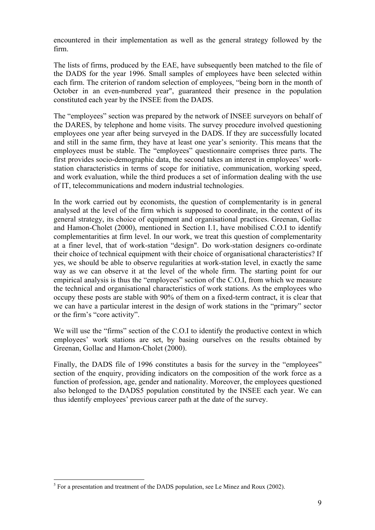encountered in their implementation as well as the general strategy followed by the firm.

The lists of firms, produced by the EAE, have subsequently been matched to the file of the DADS for the year 1996. Small samples of employees have been selected within each firm. The criterion of random selection of employees, "being born in the month of October in an even-numbered year", guaranteed their presence in the population constituted each year by the INSEE from the DADS.

The "employees" section was prepared by the network of INSEE surveyors on behalf of the DARES, by telephone and home visits. The survey procedure involved questioning employees one year after being surveyed in the DADS. If they are successfully located and still in the same firm, they have at least one year's seniority. This means that the employees must be stable. The "employees" questionnaire comprises three parts. The first provides socio-demographic data, the second takes an interest in employees' workstation characteristics in terms of scope for initiative, communication, working speed, and work evaluation, while the third produces a set of information dealing with the use of IT, telecommunications and modern industrial technologies.

In the work carried out by economists, the question of complementarity is in general analysed at the level of the firm which is supposed to coordinate, in the context of its general strategy, its choice of equipment and organisational practices. Greenan, Gollac and Hamon-Cholet (2000), mentioned in Section I.1, have mobilised C.O.I to identify complementarities at firm level. In our work, we treat this question of complementarity at a finer level, that of work-station "design". Do work-station designers co-ordinate their choice of technical equipment with their choice of organisational characteristics? If yes, we should be able to observe regularities at work-station level, in exactly the same way as we can observe it at the level of the whole firm. The starting point for our empirical analysis is thus the "employees" section of the C.O.I, from which we measure the technical and organisational characteristics of work stations. As the employees who occupy these posts are stable with 90% of them on a fixed-term contract, it is clear that we can have a particular interest in the design of work stations in the "primary" sector or the firm's "core activity".

We will use the "firms" section of the C.O.I to identify the productive context in which employees' work stations are set, by basing ourselves on the results obtained by Greenan, Gollac and Hamon-Cholet (2000).

Finally, the DADS file of 1996 constitutes a basis for the survey in the "employees" section of the enquiry, providing indicators on the composition of the work force as a function of profession, age, gender and nationality. Moreover, the employees questioned also belonged to the DADS5 population constituted by the INSEE each year. We can thus identify employees' previous career path at the date of the survey.

 $\overline{a}$  $<sup>5</sup>$  For a presentation and treatment of the DADS population, see Le Minez and Roux (2002).</sup>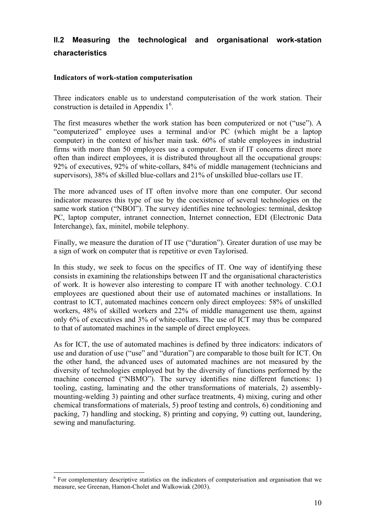# **II.2 Measuring the technological and organisational work-station characteristics**

#### **Indicators of work-station computerisation**

Three indicators enable us to understand computerisation of the work station. Their construction is detailed in Appendix  $1<sup>6</sup>$ .

The first measures whether the work station has been computerized or not ("use"). A "computerized" employee uses a terminal and/or PC (which might be a laptop computer) in the context of his/her main task. 60% of stable employees in industrial firms with more than 50 employees use a computer. Even if IT concerns direct more often than indirect employees, it is distributed throughout all the occupational groups: 92% of executives, 92% of white-collars, 84% of middle management (technicians and supervisors), 38% of skilled blue-collars and 21% of unskilled blue-collars use IT.

The more advanced uses of IT often involve more than one computer. Our second indicator measures this type of use by the coexistence of several technologies on the same work station ("NBOI"). The survey identifies nine technologies: terminal, desktop PC, laptop computer, intranet connection, Internet connection, EDI (Electronic Data Interchange), fax, minitel, mobile telephony.

Finally, we measure the duration of IT use ("duration"). Greater duration of use may be a sign of work on computer that is repetitive or even Taylorised.

In this study, we seek to focus on the specifics of IT. One way of identifying these consists in examining the relationships between IT and the organisational characteristics of work. It is however also interesting to compare IT with another technology. C.O.I employees are questioned about their use of automated machines or installations. In contrast to ICT, automated machines concern only direct employees: 58% of unskilled workers, 48% of skilled workers and 22% of middle management use them, against only 6% of executives and 3% of white-collars. The use of ICT may thus be compared to that of automated machines in the sample of direct employees.

As for ICT, the use of automated machines is defined by three indicators: indicators of use and duration of use ("use" and "duration") are comparable to those built for ICT. On the other hand, the advanced uses of automated machines are not measured by the diversity of technologies employed but by the diversity of functions performed by the machine concerned ("NBMO"). The survey identifies nine different functions: 1) tooling, casting, laminating and the other transformations of materials, 2) assemblymounting-welding 3) painting and other surface treatments, 4) mixing, curing and other chemical transformations of materials, 5) proof testing and controls, 6) conditioning and packing, 7) handling and stocking, 8) printing and copying, 9) cutting out, laundering, sewing and manufacturing.

 $\overline{a}$ 

<sup>&</sup>lt;sup>6</sup> For complementary descriptive statistics on the indicators of computerisation and organisation that we measure, see Greenan, Hamon-Cholet and Walkowiak (2003).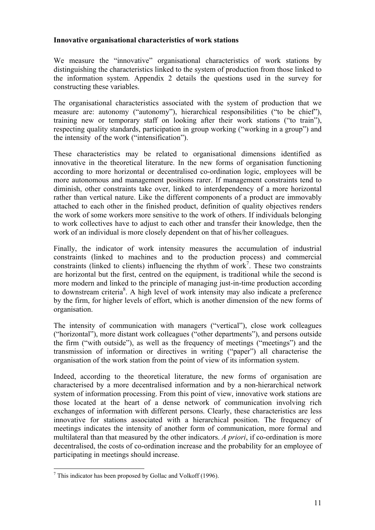#### **Innovative organisational characteristics of work stations**

We measure the "innovative" organisational characteristics of work stations by distinguishing the characteristics linked to the system of production from those linked to the information system. Appendix 2 details the questions used in the survey for constructing these variables.

The organisational characteristics associated with the system of production that we measure are: autonomy ("autonomy"), hierarchical responsibilities ("to be chief"), training new or temporary staff on looking after their work stations ("to train"), respecting quality standards, participation in group working ("working in a group") and the intensity of the work ("intensification").

These characteristics may be related to organisational dimensions identified as innovative in the theoretical literature. In the new forms of organisation functioning according to more horizontal or decentralised co-ordination logic, employees will be more autonomous and management positions rarer. If management constraints tend to diminish, other constraints take over, linked to interdependency of a more horizontal rather than vertical nature. Like the different components of a product are immovably attached to each other in the finished product, definition of quality objectives renders the work of some workers more sensitive to the work of others. If individuals belonging to work collectives have to adjust to each other and transfer their knowledge, then the work of an individual is more closely dependent on that of his/her colleagues.

Finally, the indicator of work intensity measures the accumulation of industrial constraints (linked to machines and to the production process) and commercial constraints (linked to clients) influencing the rhythm of work<sup>7</sup>. These two constraints are horizontal but the first, centred on the equipment, is traditional while the second is more modern and linked to the principle of managing just-in-time production according to downstream criteria<sup>8</sup>. A high level of work intensity may also indicate a preference by the firm, for higher levels of effort, which is another dimension of the new forms of organisation.

The intensity of communication with managers ("vertical"), close work colleagues ("horizontal"), more distant work colleagues ("other departments"), and persons outside the firm ("with outside"), as well as the frequency of meetings ("meetings") and the transmission of information or directives in writing ("paper") all characterise the organisation of the work station from the point of view of its information system.

Indeed, according to the theoretical literature, the new forms of organisation are characterised by a more decentralised information and by a non-hierarchical network system of information processing. From this point of view, innovative work stations are those located at the heart of a dense network of communication involving rich exchanges of information with different persons. Clearly, these characteristics are less innovative for stations associated with a hierarchical position. The frequency of meetings indicates the intensity of another form of communication, more formal and multilateral than that measured by the other indicators. *A priori*, if co-ordination is more decentralised, the costs of co-ordination increase and the probability for an employee of participating in meetings should increase.

 7 This indicator has been proposed by Gollac and Volkoff (1996).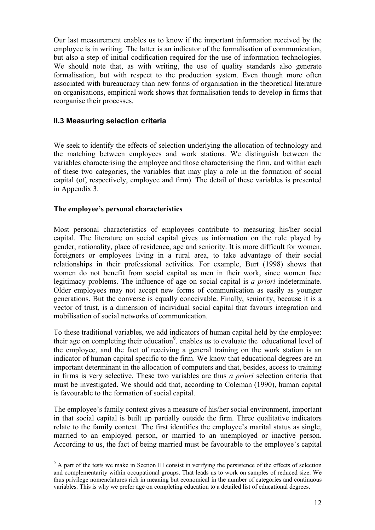Our last measurement enables us to know if the important information received by the employee is in writing. The latter is an indicator of the formalisation of communication, but also a step of initial codification required for the use of information technologies. We should note that, as with writing, the use of quality standards also generate formalisation, but with respect to the production system. Even though more often associated with bureaucracy than new forms of organisation in the theoretical literature on organisations, empirical work shows that formalisation tends to develop in firms that reorganise their processes.

# **II.3 Measuring selection criteria**

We seek to identify the effects of selection underlying the allocation of technology and the matching between employees and work stations. We distinguish between the variables characterising the employee and those characterising the firm, and within each of these two categories, the variables that may play a role in the formation of social capital (of, respectively, employee and firm). The detail of these variables is presented in Appendix 3.

#### **The employee's personal characteristics**

 $\overline{a}$ 

Most personal characteristics of employees contribute to measuring his/her social capital. The literature on social capital gives us information on the role played by gender, nationality, place of residence, age and seniority. It is more difficult for women, foreigners or employees living in a rural area, to take advantage of their social relationships in their professional activities. For example, Burt (1998) shows that women do not benefit from social capital as men in their work, since women face legitimacy problems. The influence of age on social capital is *a priori* indeterminate. Older employees may not accept new forms of communication as easily as younger generations. But the converse is equally conceivable. Finally, seniority, because it is a vector of trust, is a dimension of individual social capital that favours integration and mobilisation of social networks of communication.

To these traditional variables, we add indicators of human capital held by the employee: their age on completing their education<sup>9</sup>. enables us to evaluate the educational level of the employee, and the fact of receiving a general training on the work station is an indicator of human capital specific to the firm. We know that educational degrees are an important determinant in the allocation of computers and that, besides, access to training in firms is very selective. These two variables are thus *a priori* selection criteria that must be investigated. We should add that, according to Coleman (1990), human capital is favourable to the formation of social capital.

The employee's family context gives a measure of his/her social environment, important in that social capital is built up partially outside the firm. Three qualitative indicators relate to the family context. The first identifies the employee's marital status as single, married to an employed person, or married to an unemployed or inactive person. According to us, the fact of being married must be favourable to the employee's capital

<sup>&</sup>lt;sup>9</sup> A part of the tests we make in Section III consist in verifying the persistence of the effects of selection and complementarity within occupational groups. That leads us to work on samples of reduced size. We thus privilege nomenclatures rich in meaning but economical in the number of categories and continuous variables. This is why we prefer age on completing education to a detailed list of educational degrees.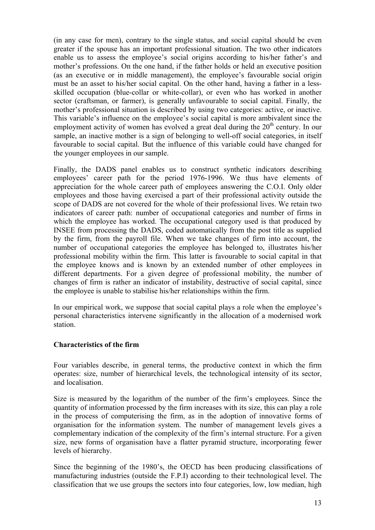(in any case for men), contrary to the single status, and social capital should be even greater if the spouse has an important professional situation. The two other indicators enable us to assess the employee's social origins according to his/her father's and mother's professions. On the one hand, if the father holds or held an executive position (as an executive or in middle management), the employee's favourable social origin must be an asset to his/her social capital. On the other hand, having a father in a lessskilled occupation (blue-collar or white-collar), or even who has worked in another sector (craftsman, or farmer), is generally unfavourable to social capital. Finally, the mother's professional situation is described by using two categories: active, or inactive. This variable's influence on the employee's social capital is more ambivalent since the employment activity of women has evolved a great deal during the  $20<sup>th</sup>$  century. In our sample, an inactive mother is a sign of belonging to well-off social categories, in itself favourable to social capital. But the influence of this variable could have changed for the younger employees in our sample.

Finally, the DADS panel enables us to construct synthetic indicators describing employees' career path for the period 1976-1996. We thus have elements of appreciation for the whole career path of employees answering the C.O.I. Only older employees and those having exercised a part of their professional activity outside the scope of DADS are not covered for the whole of their professional lives. We retain two indicators of career path: number of occupational categories and number of firms in which the employee has worked. The occupational category used is that produced by INSEE from processing the DADS, coded automatically from the post title as supplied by the firm, from the payroll file. When we take changes of firm into account, the number of occupational categories the employee has belonged to, illustrates his/her professional mobility within the firm. This latter is favourable to social capital in that the employee knows and is known by an extended number of other employees in different departments. For a given degree of professional mobility, the number of changes of firm is rather an indicator of instability, destructive of social capital, since the employee is unable to stabilise his/her relationships within the firm.

In our empirical work, we suppose that social capital plays a role when the employee's personal characteristics intervene significantly in the allocation of a modernised work station.

## **Characteristics of the firm**

Four variables describe, in general terms, the productive context in which the firm operates: size, number of hierarchical levels, the technological intensity of its sector, and localisation.

Size is measured by the logarithm of the number of the firm's employees. Since the quantity of information processed by the firm increases with its size, this can play a role in the process of computerising the firm, as in the adoption of innovative forms of organisation for the information system. The number of management levels gives a complementary indication of the complexity of the firm's internal structure. For a given size, new forms of organisation have a flatter pyramid structure, incorporating fewer levels of hierarchy.

Since the beginning of the 1980's, the OECD has been producing classifications of manufacturing industries (outside the F.P.I) according to their technological level. The classification that we use groups the sectors into four categories, low, low median, high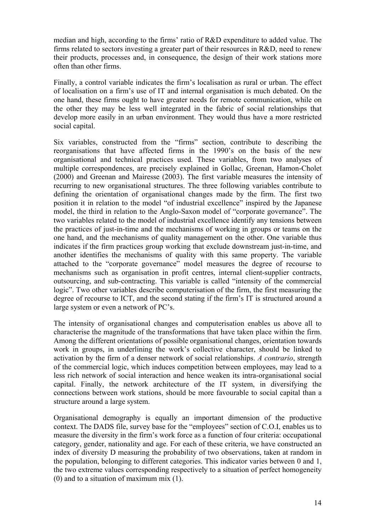median and high, according to the firms' ratio of R&D expenditure to added value. The firms related to sectors investing a greater part of their resources in R&D, need to renew their products, processes and, in consequence, the design of their work stations more often than other firms.

Finally, a control variable indicates the firm's localisation as rural or urban. The effect of localisation on a firm's use of IT and internal organisation is much debated. On the one hand, these firms ought to have greater needs for remote communication, while on the other they may be less well integrated in the fabric of social relationships that develop more easily in an urban environment. They would thus have a more restricted social capital.

Six variables, constructed from the "firms" section, contribute to describing the reorganisations that have affected firms in the 1990's on the basis of the new organisational and technical practices used. These variables, from two analyses of multiple correspondences, are precisely explained in Gollac, Greenan, Hamon-Cholet (2000) and Greenan and Mairesse (2003). The first variable measures the intensity of recurring to new organisational structures. The three following variables contribute to defining the orientation of organisational changes made by the firm. The first two position it in relation to the model "of industrial excellence" inspired by the Japanese model, the third in relation to the Anglo-Saxon model of "corporate governance". The two variables related to the model of industrial excellence identify any tensions between the practices of just-in-time and the mechanisms of working in groups or teams on the one hand, and the mechanisms of quality management on the other. One variable thus indicates if the firm practices group working that exclude downstream just-in-time, and another identifies the mechanisms of quality with this same property. The variable attached to the "corporate governance" model measures the degree of recourse to mechanisms such as organisation in profit centres, internal client-supplier contracts, outsourcing, and sub-contracting. This variable is called "intensity of the commercial logic". Two other variables describe computerisation of the firm, the first measuring the degree of recourse to ICT, and the second stating if the firm's IT is structured around a large system or even a network of PC's.

The intensity of organisational changes and computerisation enables us above all to characterise the magnitude of the transformations that have taken place within the firm. Among the different orientations of possible organisational changes, orientation towards work in groups, in underlining the work's collective character, should be linked to activation by the firm of a denser network of social relationships. *A contrario*, strength of the commercial logic, which induces competition between employees, may lead to a less rich network of social interaction and hence weaken its intra-organisational social capital. Finally, the network architecture of the IT system, in diversifying the connections between work stations, should be more favourable to social capital than a structure around a large system.

Organisational demography is equally an important dimension of the productive context. The DADS file, survey base for the "employees" section of C.O.I, enables us to measure the diversity in the firm's work force as a function of four criteria: occupational category, gender, nationality and age. For each of these criteria, we have constructed an index of diversity D measuring the probability of two observations, taken at random in the population, belonging to different categories. This indicator varies between 0 and 1, the two extreme values corresponding respectively to a situation of perfect homogeneity (0) and to a situation of maximum mix (1).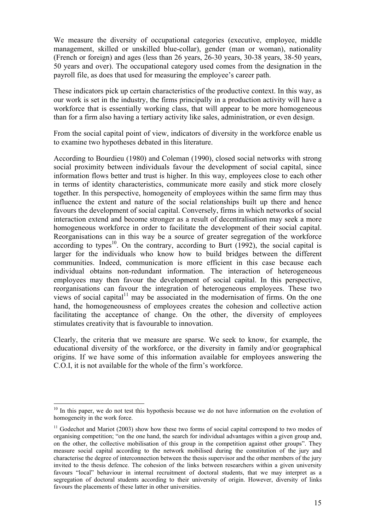We measure the diversity of occupational categories (executive, employee, middle management, skilled or unskilled blue-collar), gender (man or woman), nationality (French or foreign) and ages (less than 26 years, 26-30 years, 30-38 years, 38-50 years, 50 years and over). The occupational category used comes from the designation in the payroll file, as does that used for measuring the employee's career path.

These indicators pick up certain characteristics of the productive context. In this way, as our work is set in the industry, the firms principally in a production activity will have a workforce that is essentially working class, that will appear to be more homogeneous than for a firm also having a tertiary activity like sales, administration, or even design.

From the social capital point of view, indicators of diversity in the workforce enable us to examine two hypotheses debated in this literature.

According to Bourdieu (1980) and Coleman (1990), closed social networks with strong social proximity between individuals favour the development of social capital, since information flows better and trust is higher. In this way, employees close to each other in terms of identity characteristics, communicate more easily and stick more closely together. In this perspective, homogeneity of employees within the same firm may thus influence the extent and nature of the social relationships built up there and hence favours the development of social capital. Conversely, firms in which networks of social interaction extend and become stronger as a result of decentralisation may seek a more homogeneous workforce in order to facilitate the development of their social capital. Reorganisations can in this way be a source of greater segregation of the workforce according to types<sup>10</sup>. On the contrary, according to Burt  $(1992)$ , the social capital is larger for the individuals who know how to build bridges between the different communities. Indeed, communication is more efficient in this case because each individual obtains non-redundant information. The interaction of heterogeneous employees may then favour the development of social capital. In this perspective, reorganisations can favour the integration of heterogeneous employees. These two views of social capital $11$  may be associated in the modernisation of firms. On the one hand, the homogeneousness of employees creates the cohesion and collective action facilitating the acceptance of change. On the other, the diversity of employees stimulates creativity that is favourable to innovation.

Clearly, the criteria that we measure are sparse. We seek to know, for example, the educational diversity of the workforce, or the diversity in family and/or geographical origins. If we have some of this information available for employees answering the C.O.I, it is not available for the whole of the firm's workforce.

 $\overline{a}$ 

 $10$  In this paper, we do not test this hypothesis because we do not have information on the evolution of homogeneity in the work force.

 $11$  Godechot and Mariot (2003) show how these two forms of social capital correspond to two modes of organising competition; "on the one hand, the search for individual advantages within a given group and, on the other, the collective mobilisation of this group in the competition against other groups". They measure social capital according to the network mobilised during the constitution of the jury and characterise the degree of interconnection between the thesis supervisor and the other members of the jury invited to the thesis defence. The cohesion of the links between researchers within a given university favours "local" behaviour in internal recruitment of doctoral students, that we may interpret as a segregation of doctoral students according to their university of origin. However, diversity of links favours the placements of these latter in other universities.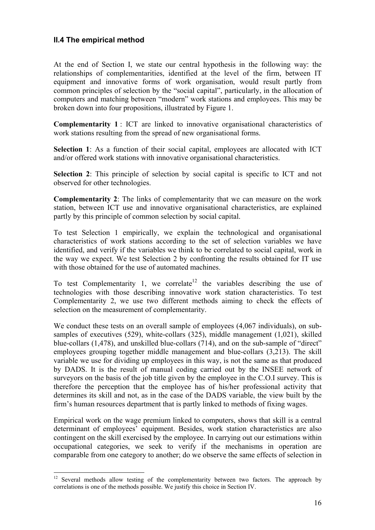# **II.4 The empirical method**

 $\overline{a}$ 

At the end of Section I, we state our central hypothesis in the following way: the relationships of complementarities, identified at the level of the firm, between IT equipment and innovative forms of work organisation, would result partly from common principles of selection by the "social capital", particularly, in the allocation of computers and matching between "modern" work stations and employees. This may be broken down into four propositions, illustrated by Figure 1.

**Complementarity 1** : ICT are linked to innovative organisational characteristics of work stations resulting from the spread of new organisational forms.

**Selection 1**: As a function of their social capital, employees are allocated with ICT and/or offered work stations with innovative organisational characteristics.

**Selection 2**: This principle of selection by social capital is specific to ICT and not observed for other technologies.

**Complementarity 2**: The links of complementarity that we can measure on the work station, between ICT use and innovative organisational characteristics, are explained partly by this principle of common selection by social capital.

To test Selection 1 empirically, we explain the technological and organisational characteristics of work stations according to the set of selection variables we have identified, and verify if the variables we think to be correlated to social capital, work in the way we expect. We test Selection 2 by confronting the results obtained for IT use with those obtained for the use of automated machines.

To test Complementarity 1, we correlate  $1^2$  the variables describing the use of technologies with those describing innovative work station characteristics. To test Complementarity 2, we use two different methods aiming to check the effects of selection on the measurement of complementarity.

We conduct these tests on an overall sample of employees (4,067 individuals), on subsamples of executives (529), white-collars (325), middle management (1,021), skilled blue-collars (1,478), and unskilled blue-collars (714), and on the sub-sample of "direct" employees grouping together middle management and blue-collars (3,213). The skill variable we use for dividing up employees in this way, is not the same as that produced by DADS. It is the result of manual coding carried out by the INSEE network of surveyors on the basis of the job title given by the employee in the C.O.I survey. This is therefore the perception that the employee has of his/her professional activity that determines its skill and not, as in the case of the DADS variable, the view built by the firm's human resources department that is partly linked to methods of fixing wages.

Empirical work on the wage premium linked to computers, shows that skill is a central determinant of employees' equipment. Besides, work station characteristics are also contingent on the skill exercised by the employee. In carrying out our estimations within occupational categories, we seek to verify if the mechanisms in operation are comparable from one category to another; do we observe the same effects of selection in

 $12$  Several methods allow testing of the complementarity between two factors. The approach by correlations is one of the methods possible. We justify this choice in Section IV.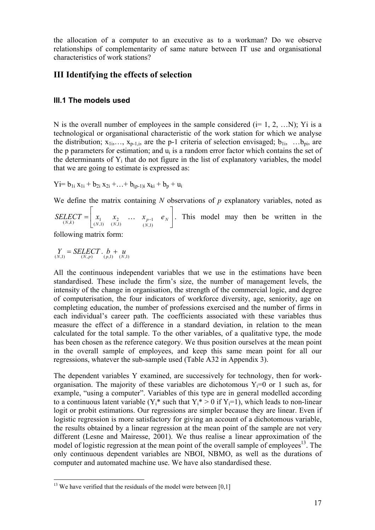the allocation of a computer to an executive as to a workman? Do we observe relationships of complementarity of same nature between IT use and organisational characteristics of work stations?

# **III Identifying the effects of selection**

# **III.1 The models used**

N is the overall number of employees in the sample considered  $(i= 1, 2, ...N)$ ; Yi is a technological or organisational characteristic of the work station for which we analyse the distribution;  $x_{1i},..., x_{p-1,i}$ , are the p-1 criteria of selection envisaged;  $b_{1i},...b_{pi}$ , are the p parameters for estimation; and  $u_i$  is a random error factor which contains the set of the determinants of  $Y_i$  that do not figure in the list of explanatory variables, the model that we are going to estimate is expressed as:

 $Y_i = b_{1i} x_{1i} + b_{2i} x_{2i} + \ldots + b_{(p-1)i} x_{ki} + b_p + u_i$ 

We define the matrix containing *N* observations of *p* explanatory variables, noted as

 $\overline{\phantom{a}}$ 」  $\begin{vmatrix} x_1 & x_2 & \dots & x_{p-1} & e_N \end{vmatrix}$ L  $=\begin{vmatrix} x_1 & x_2 & \dots & x_{p-1} & e_N \end{vmatrix}$ *N*  $N(k)$   $\begin{bmatrix} \lambda_1 & \lambda_2 & \cdots & \lambda_p \\ (N,1) & (N,1) & (N,1) \end{bmatrix}$ *SELECT* =  $x_1$   $x_2$   $\ldots$   $x_{n-1}$  *e*  $(N,1)$  $\text{LECT} = \begin{vmatrix} x_1 & x_2 & \dots & x_{p-1} & e_N \end{vmatrix}$ . This model may then be written in the

following matrix form:

 $Y = SELECT \cdot b + u$ <br>  $(Y,1) = (N,p) \cdot (p,1) \cdot (N,1)$ 

All the continuous independent variables that we use in the estimations have been standardised. These include the firm's size, the number of management levels, the intensity of the change in organisation, the strength of the commercial logic, and degree of computerisation, the four indicators of workforce diversity, age, seniority, age on completing education, the number of professions exercised and the number of firms in each individual's career path. The coefficients associated with these variables thus measure the effect of a difference in a standard deviation, in relation to the mean calculated for the total sample. To the other variables, of a qualitative type, the mode has been chosen as the reference category. We thus position ourselves at the mean point in the overall sample of employees, and keep this same mean point for all our regressions, whatever the sub-sample used (Table A32 in Appendix 3).

The dependent variables Y examined, are successively for technology, then for workorganisation. The majority of these variables are dichotomous  $Y_i=0$  or 1 such as, for example, "using a computer". Variables of this type are in general modelled according to a continuous latent variable  $(Y_i^*$  such that  $Y_i^* > 0$  if  $Y_i = 1$ ), which leads to non-linear logit or probit estimations. Our regressions are simpler because they are linear. Even if logistic regression is more satisfactory for giving an account of a dichotomous variable, the results obtained by a linear regression at the mean point of the sample are not very different (Lesne and Mairesse, 2001). We thus realise a linear approximation of the model of logistic regression at the mean point of the overall sample of employees<sup>13</sup>. The only continuous dependent variables are NBOI, NBMO, as well as the durations of computer and automated machine use. We have also standardised these.

 $\overline{a}$  $13$  We have verified that the residuals of the model were between [0,1]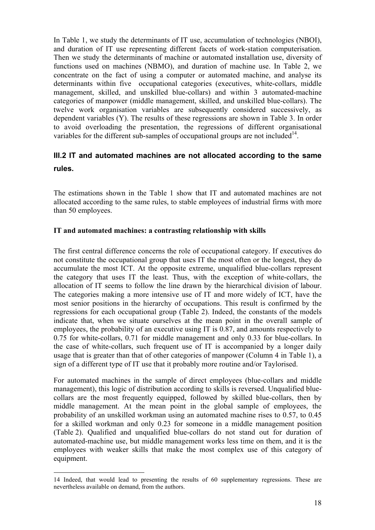In Table 1, we study the determinants of IT use, accumulation of technologies (NBOI), and duration of IT use representing different facets of work-station computerisation. Then we study the determinants of machine or automated installation use, diversity of functions used on machines (NBMO), and duration of machine use. In Table 2, we concentrate on the fact of using a computer or automated machine, and analyse its determinants within five occupational categories (executives, white-collars, middle management, skilled, and unskilled blue-collars) and within 3 automated-machine categories of manpower (middle management, skilled, and unskilled blue-collars). The twelve work organisation variables are subsequently considered successively, as dependent variables (Y). The results of these regressions are shown in Table 3. In order to avoid overloading the presentation, the regressions of different organisational variables for the different sub-samples of occupational groups are not included<sup>14</sup>.

# **III.2 IT and automated machines are not allocated according to the same rules.**

The estimations shown in the Table 1 show that IT and automated machines are not allocated according to the same rules, to stable employees of industrial firms with more than 50 employees.

## **IT and automated machines: a contrasting relationship with skills**

The first central difference concerns the role of occupational category. If executives do not constitute the occupational group that uses IT the most often or the longest, they do accumulate the most ICT. At the opposite extreme, unqualified blue-collars represent the category that uses IT the least. Thus, with the exception of white-collars, the allocation of IT seems to follow the line drawn by the hierarchical division of labour. The categories making a more intensive use of IT and more widely of ICT, have the most senior positions in the hierarchy of occupations. This result is confirmed by the regressions for each occupational group (Table 2). Indeed, the constants of the models indicate that, when we situate ourselves at the mean point in the overall sample of employees, the probability of an executive using IT is 0.87, and amounts respectively to 0.75 for white-collars, 0.71 for middle management and only 0.33 for blue-collars. In the case of white-collars, such frequent use of IT is accompanied by a longer daily usage that is greater than that of other categories of manpower (Column 4 in Table 1), a sign of a different type of IT use that it probably more routine and/or Taylorised.

For automated machines in the sample of direct employees (blue-collars and middle management), this logic of distribution according to skills is reversed. Unqualified bluecollars are the most frequently equipped, followed by skilled blue-collars, then by middle management. At the mean point in the global sample of employees, the probability of an unskilled workman using an automated machine rises to 0.57, to 0.45 for a skilled workman and only 0.23 for someone in a middle management position (Table 2). Qualified and unqualified blue-collars do not stand out for duration of automated-machine use, but middle management works less time on them, and it is the employees with weaker skills that make the most complex use of this category of equipment.

<sup>14</sup> Indeed, that would lead to presenting the results of 60 supplementary regressions. These are nevertheless available on demand, from the authors.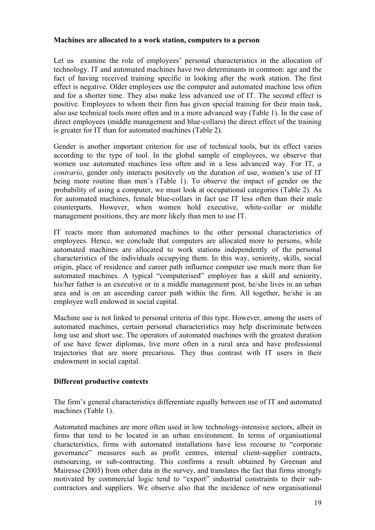#### **Machines are allocated to a work station, computers to a person**

Let us examine the role of employees' personal characteristics in the allocation of technology. IT and automated machines have two determinants in common: age and the fact of having received training specific in looking after the work station. The first effect is negative. Older employees use the computer and automated machine less often and for a shorter time. They also make less advanced use of IT. The second effect is positive. Employees to whom their firm has given special training for their main task, also use technical tools more often and in a more advanced way (Table 1). In the case of direct employees (middle management and blue-collars) the direct effect of the training is greater for IT than for automated machines (Table 2).

Gender is another important criterion for use of technical tools, but its effect varies according to the type of tool. In the global sample of employees, we observe that women use automated machines less often and in a less advanced way. For IT, *a contrario*, gender only interacts positively on the duration of use, women's use of IT being more routine than men's (Table 1). To observe the impact of gender on the probability of using a computer, we must look at occupational categories (Table 2). As for automated machines, female blue-collars in fact use IT less often than their male counterparts. However, when women hold executive, white-collar or middle management positions, they are more likely than men to use IT.

IT reacts more than automated machines to the other personal characteristics of employees. Hence, we conclude that computers are allocated more to persons, while automated machines are allocated to work stations independently of the personal characteristics of the individuals occupying them. In this way, seniority, skills, social origin, place of residence and career path influence computer use much more than for automated machines. A typical "computerised" employee has a skill and seniority, his/her father is an executive or in a middle management post, he/she lives in an urban area and is on an ascending career path within the firm. All together, he/she is an employee well endowed in social capital.

Machine use is not linked to personal criteria of this type. However, among the users of automated machines, certain personal characteristics may help discriminate between long use and short use. The operators of automated machines with the greatest duration of use have fewer diplomas, live more often in a rural area and have professional trajectories that are more precarious. They thus contrast with IT users in their endowment in social capital.

#### **Different productive contexts**

The firm's general characteristics differentiate equally between use of IT and automated machines (Table 1).

Automated machines are more often used in low technology-intensive sectors, albeit in firms that tend to be located in an urban environment. In terms of organisational characteristics, firms with automated installations have less recourse to "corporate governance" measures such as profit centres, internal client-supplier contracts, outsourcing, or sub-contracting. This confirms a result obtained by Greenan and Mairesse (2003) from other data in the survey, and translates the fact that firms strongly motivated by commercial logic tend to "export" industrial constraints to their subcontractors and suppliers. We observe also that the incidence of new organisational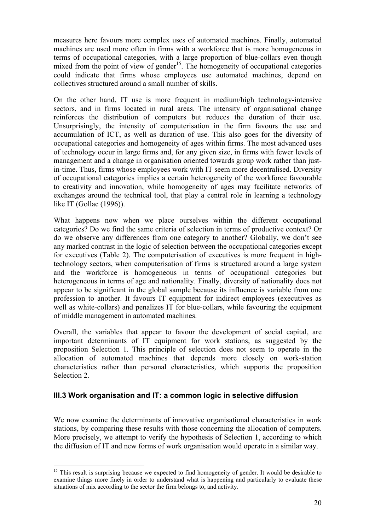measures here favours more complex uses of automated machines. Finally, automated machines are used more often in firms with a workforce that is more homogeneous in terms of occupational categories, with a large proportion of blue-collars even though mixed from the point of view of gender<sup>15</sup>. The homogeneity of occupational categories could indicate that firms whose employees use automated machines, depend on collectives structured around a small number of skills.

On the other hand, IT use is more frequent in medium/high technology-intensive sectors, and in firms located in rural areas. The intensity of organisational change reinforces the distribution of computers but reduces the duration of their use. Unsurprisingly, the intensity of computerisation in the firm favours the use and accumulation of ICT, as well as duration of use. This also goes for the diversity of occupational categories and homogeneity of ages within firms. The most advanced uses of technology occur in large firms and, for any given size, in firms with fewer levels of management and a change in organisation oriented towards group work rather than justin-time. Thus, firms whose employees work with IT seem more decentralised. Diversity of occupational categories implies a certain heterogeneity of the workforce favourable to creativity and innovation, while homogeneity of ages may facilitate networks of exchanges around the technical tool, that play a central role in learning a technology like IT (Gollac (1996)).

What happens now when we place ourselves within the different occupational categories? Do we find the same criteria of selection in terms of productive context? Or do we observe any differences from one category to another? Globally, we don't see any marked contrast in the logic of selection between the occupational categories except for executives (Table 2). The computerisation of executives is more frequent in hightechnology sectors, when computerisation of firms is structured around a large system and the workforce is homogeneous in terms of occupational categories but heterogeneous in terms of age and nationality. Finally, diversity of nationality does not appear to be significant in the global sample because its influence is variable from one profession to another. It favours IT equipment for indirect employees (executives as well as white-collars) and penalizes IT for blue-collars, while favouring the equipment of middle management in automated machines.

Overall, the variables that appear to favour the development of social capital, are important determinants of IT equipment for work stations, as suggested by the proposition Selection 1. This principle of selection does not seem to operate in the allocation of automated machines that depends more closely on work-station characteristics rather than personal characteristics, which supports the proposition Selection 2.

# **III.3 Work organisation and IT: a common logic in selective diffusion**

We now examine the determinants of innovative organisational characteristics in work stations, by comparing these results with those concerning the allocation of computers. More precisely, we attempt to verify the hypothesis of Selection 1, according to which the diffusion of IT and new forms of work organisation would operate in a similar way.

 $\overline{a}$  $15$  This result is surprising because we expected to find homogeneity of gender. It would be desirable to examine things more finely in order to understand what is happening and particularly to evaluate these situations of mix according to the sector the firm belongs to, and activity.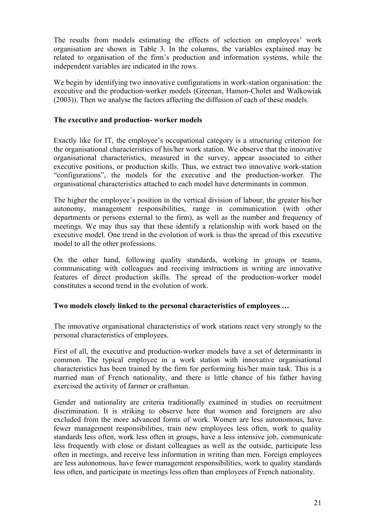The results from models estimating the effects of selection on employees' work organisation are shown in Table 3. In the columns, the variables explained may be related to organisation of the firm's production and information systems, while the independent variables are indicated in the rows.

We begin by identifying two innovative configurations in work-station organisation: the executive and the production-worker models (Greenan, Hamon-Cholet and Walkowiak (2003)). Then we analyse the factors affecting the diffusion of each of these models.

#### **The executive and production- worker models**

Exactly like for IT, the employee's occupational category is a structuring criterion for the organisational characteristics of his/her work station. We observe that the innovative organisational characteristics, measured in the survey, appear associated to either executive positions, or production skills. Thus, we extract two innovative work-station "configurations", the models for the executive and the production-worker. The organisational characteristics attached to each model have determinants in common.

The higher the employee's position in the vertical division of labour, the greater his/her autonomy, management responsibilities, range in communication (with other departments or persons external to the firm), as well as the number and frequency of meetings. We may thus say that these identify a relationship with work based on the executive model. One trend in the evolution of work is thus the spread of this executive model to all the other professions.

On the other hand, following quality standards, working in groups or teams, communicating with colleagues and receiving instructions in writing are innovative features of direct production skills. The spread of the production-worker model constitutes a second trend in the evolution of work.

## **Two models closely linked to the personal characteristics of employees …**

The innovative organisational characteristics of work stations react very strongly to the personal characteristics of employees.

First of all, the executive and production-worker models have a set of determinants in common. The typical employee in a work station with innovative organisational characteristics has been trained by the firm for performing his/her main task. This is a married man of French nationality, and there is little chance of his father having exercised the activity of farmer or craftsman.

Gender and nationality are criteria traditionally examined in studies on recruitment discrimination. It is striking to observe here that women and foreigners are also excluded from the more advanced forms of work. Women are less autonomous, have fewer management responsibilities, train new employees less often, work to quality standards less often, work less often in groups, have a less intensive job, communicate less frequently with close or distant colleagues as well as the outside, participate less often in meetings, and receive less information in writing than men. Foreign employees are less autonomous*,* have fewer management responsibilities, work to quality standards less often, and participate in meetings less often than employees of French nationality.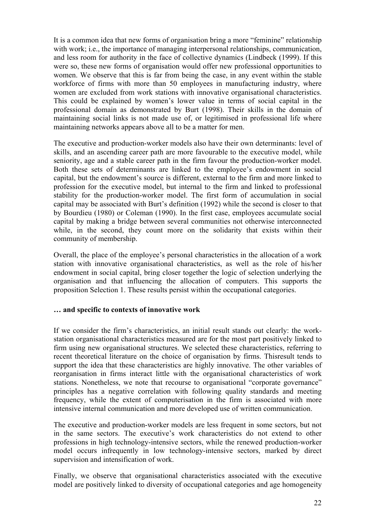It is a common idea that new forms of organisation bring a more "feminine" relationship with work; i.e., the importance of managing interpersonal relationships, communication, and less room for authority in the face of collective dynamics (Lindbeck (1999). If this were so, these new forms of organisation would offer new professional opportunities to women. We observe that this is far from being the case, in any event within the stable workforce of firms with more than 50 employees in manufacturing industry, where women are excluded from work stations with innovative organisational characteristics. This could be explained by women's lower value in terms of social capital in the professional domain as demonstrated by Burt (1998). Their skills in the domain of maintaining social links is not made use of, or legitimised in professional life where maintaining networks appears above all to be a matter for men.

The executive and production-worker models also have their own determinants: level of skills, and an ascending career path are more favourable to the executive model, while seniority, age and a stable career path in the firm favour the production-worker model. Both these sets of determinants are linked to the employee's endowment in social capital, but the endowment's source is different, external to the firm and more linked to profession for the executive model, but internal to the firm and linked to professional stability for the production-worker model. The first form of accumulation in social capital may be associated with Burt's definition (1992) while the second is closer to that by Bourdieu (1980) or Coleman (1990). In the first case, employees accumulate social capital by making a bridge between several communities not otherwise interconnected while, in the second, they count more on the solidarity that exists within their community of membership.

Overall, the place of the employee's personal characteristics in the allocation of a work station with innovative organisational characteristics, as well as the role of his/her endowment in social capital, bring closer together the logic of selection underlying the organisation and that influencing the allocation of computers. This supports the proposition Selection 1. These results persist within the occupational categories.

#### **… and specific to contexts of innovative work**

If we consider the firm's characteristics, an initial result stands out clearly: the workstation organisational characteristics measured are for the most part positively linked to firm using new organisational structures. We selected these characteristics, referring to recent theoretical literature on the choice of organisation by firms. Thisresult tends to support the idea that these characteristics are highly innovative. The other variables of reorganisation in firms interact little with the organisational characteristics of work stations. Nonetheless, we note that recourse to organisational "corporate governance" principles has a negative correlation with following quality standards and meeting frequency, while the extent of computerisation in the firm is associated with more intensive internal communication and more developed use of written communication.

The executive and production-worker models are less frequent in some sectors, but not in the same sectors. The executive's work characteristics do not extend to other professions in high technology-intensive sectors, while the renewed production-worker model occurs infrequently in low technology-intensive sectors, marked by direct supervision and intensification of work.

Finally, we observe that organisational characteristics associated with the executive model are positively linked to diversity of occupational categories and age homogeneity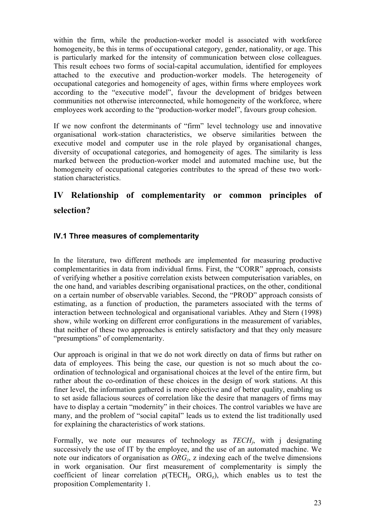within the firm, while the production-worker model is associated with workforce homogeneity, be this in terms of occupational category, gender, nationality, or age. This is particularly marked for the intensity of communication between close colleagues. This result echoes two forms of social-capital accumulation, identified for employees attached to the executive and production-worker models. The heterogeneity of occupational categories and homogeneity of ages, within firms where employees work according to the "executive model", favour the development of bridges between communities not otherwise interconnected, while homogeneity of the workforce, where employees work according to the "production-worker model", favours group cohesion.

If we now confront the determinants of "firm" level technology use and innovative organisational work-station characteristics, we observe similarities between the executive model and computer use in the role played by organisational changes, diversity of occupational categories, and homogeneity of ages. The similarity is less marked between the production-worker model and automated machine use, but the homogeneity of occupational categories contributes to the spread of these two workstation characteristics.

# **IV Relationship of complementarity or common principles of selection?**

# **IV.1 Three measures of complementarity**

In the literature, two different methods are implemented for measuring productive complementarities in data from individual firms. First, the "CORR" approach, consists of verifying whether a positive correlation exists between computerisation variables, on the one hand, and variables describing organisational practices, on the other, conditional on a certain number of observable variables. Second, the "PROD" approach consists of estimating, as a function of production, the parameters associated with the terms of interaction between technological and organisational variables. Athey and Stern (1998) show, while working on different error configurations in the measurement of variables, that neither of these two approaches is entirely satisfactory and that they only measure "presumptions" of complementarity.

Our approach is original in that we do not work directly on data of firms but rather on data of employees. This being the case, our question is not so much about the coordination of technological and organisational choices at the level of the entire firm, but rather about the co-ordination of these choices in the design of work stations. At this finer level, the information gathered is more objective and of better quality, enabling us to set aside fallacious sources of correlation like the desire that managers of firms may have to display a certain "modernity" in their choices. The control variables we have are many, and the problem of "social capital" leads us to extend the list traditionally used for explaining the characteristics of work stations.

Formally, we note our measures of technology as *TECH<sub>i</sub>*, with j designating successively the use of IT by the employee, and the use of an automated machine. We note our indicators of organisation as *ORG<sub>z</sub>*, z indexing each of the twelve dimensions in work organisation. Our first measurement of complementarity is simply the coefficient of linear correlation  $\rho(TECH_i, ORG_z)$ , which enables us to test the proposition Complementarity 1.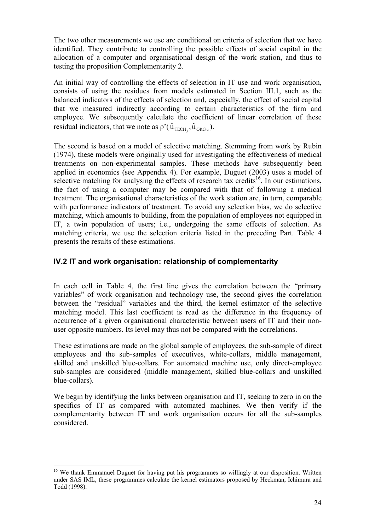The two other measurements we use are conditional on criteria of selection that we have identified. They contribute to controlling the possible effects of social capital in the allocation of a computer and organisational design of the work station, and thus to testing the proposition Complementarity 2.

An initial way of controlling the effects of selection in IT use and work organisation, consists of using the residues from models estimated in Section III.1, such as the balanced indicators of the effects of selection and, especially, the effect of social capital that we measured indirectly according to certain characteristics of the firm and employee. We subsequently calculate the coefficient of linear correlation of these residual indicators, that we note as  $\rho'(\hat{u}_{\text{TECH}}), \hat{u}_{\text{ORG}_z}$ ).

The second is based on a model of selective matching. Stemming from work by Rubin (1974), these models were originally used for investigating the effectiveness of medical treatments on non-experimental samples. These methods have subsequently been applied in economics (see Appendix 4). For example, Duguet (2003) uses a model of selective matching for analysing the effects of research tax credits<sup>16</sup>. In our estimations, the fact of using a computer may be compared with that of following a medical treatment. The organisational characteristics of the work station are, in turn, comparable with performance indicators of treatment. To avoid any selection bias, we do selective matching, which amounts to building, from the population of employees not equipped in IT, a twin population of users; i.e., undergoing the same effects of selection. As matching criteria, we use the selection criteria listed in the preceding Part. Table 4 presents the results of these estimations.

# **IV.2 IT and work organisation: relationship of complementarity**

In each cell in Table 4, the first line gives the correlation between the "primary variables" of work organisation and technology use, the second gives the correlation between the "residual" variables and the third, the kernel estimator of the selective matching model. This last coefficient is read as the difference in the frequency of occurrence of a given organisational characteristic between users of IT and their nonuser opposite numbers. Its level may thus not be compared with the correlations.

These estimations are made on the global sample of employees, the sub-sample of direct employees and the sub-samples of executives, white-collars, middle management, skilled and unskilled blue-collars. For automated machine use, only direct-employee sub-samples are considered (middle management, skilled blue-collars and unskilled blue-collars).

We begin by identifying the links between organisation and IT, seeking to zero in on the specifics of IT as compared with automated machines. We then verify if the complementarity between IT and work organisation occurs for all the sub-samples considered.

 $\overline{a}$ <sup>16</sup> We thank Emmanuel Duguet for having put his programmes so willingly at our disposition. Written under SAS IML, these programmes calculate the kernel estimators proposed by Heckman, Ichimura and Todd (1998).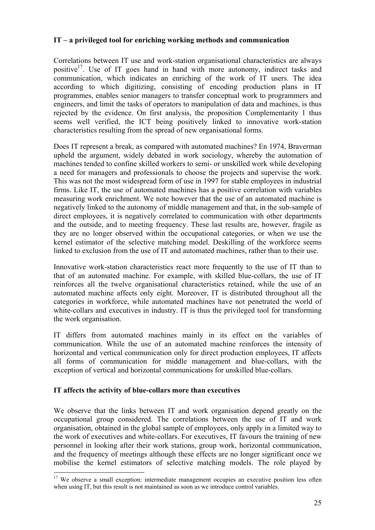## **IT – a privileged tool for enriching working methods and communication**

Correlations between IT use and work-station organisational characteristics are always positive<sup>17</sup>. Use of IT goes hand in hand with more autonomy, indirect tasks and communication, which indicates an enriching of the work of IT users. The idea according to which digitizing, consisting of encoding production plans in IT programmes, enables senior managers to transfer conceptual work to programmers and engineers, and limit the tasks of operators to manipulation of data and machines, is thus rejected by the evidence. On first analysis, the proposition Complementarity 1 thus seems well verified, the ICT being positively linked to innovative work-station characteristics resulting from the spread of new organisational forms.

Does IT represent a break, as compared with automated machines? En 1974, Braverman upheld the argument, widely debated in work sociology, whereby the automation of machines tended to confine skilled workers to semi- or unskilled work while developing a need for managers and professionals to choose the projects and supervise the work. This was not the most widespread form of use in 1997 for stable employees in industrial firms. Like IT, the use of automated machines has a positive correlation with variables measuring work enrichment. We note however that the use of an automated machine is negatively linked to the autonomy of middle management and that, in the sub-sample of direct employees, it is negatively correlated to communication with other departments and the outside, and to meeting frequency. These last results are, however, fragile as they are no longer observed within the occupational categories, or when we use the kernel estimator of the selective matching model. Deskilling of the workforce seems linked to exclusion from the use of IT and automated machines, rather than to their use.

Innovative work-station characteristics react more frequently to the use of IT than to that of an automated machine. For example, with skilled blue-collars, the use of IT reinforces all the twelve organisational characteristics retained, while the use of an automated machine affects only eight. Moreover, IT is distributed throughout all the categories in workforce, while automated machines have not penetrated the world of white-collars and executives in industry. IT is thus the privileged tool for transforming the work organisation.

IT differs from automated machines mainly in its effect on the variables of communication. While the use of an automated machine reinforces the intensity of horizontal and vertical communication only for direct production employees, IT affects all forms of communication for middle management and blue-collars, with the exception of vertical and horizontal communications for unskilled blue-collars.

## **IT affects the activity of blue-collars more than executives**

 $\overline{a}$ 

We observe that the links between IT and work organisation depend greatly on the occupational group considered. The correlations between the use of IT and work organisation, obtained in the global sample of employees, only apply in a limited way to the work of executives and white-collars. For executives, IT favours the training of new personnel in looking after their work stations, group work, horizontal communication, and the frequency of meetings although these effects are no longer significant once we mobilise the kernel estimators of selective matching models. The role played by

<sup>&</sup>lt;sup>17</sup> We observe a small exception: intermediate management occupies an executive position less often when using IT, but this result is not maintained as soon as we introduce control variables.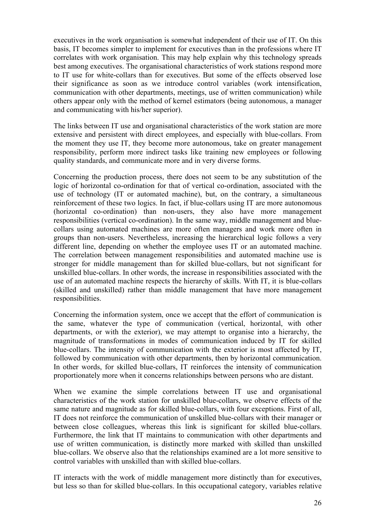executives in the work organisation is somewhat independent of their use of IT. On this basis, IT becomes simpler to implement for executives than in the professions where IT correlates with work organisation. This may help explain why this technology spreads best among executives. The organisational characteristics of work stations respond more to IT use for white-collars than for executives. But some of the effects observed lose their significance as soon as we introduce control variables (work intensification, communication with other departments, meetings, use of written communication) while others appear only with the method of kernel estimators (being autonomous, a manager and communicating with his/her superior).

The links between IT use and organisational characteristics of the work station are more extensive and persistent with direct employees, and especially with blue-collars. From the moment they use IT, they become more autonomous, take on greater management responsibility, perform more indirect tasks like training new employees or following quality standards, and communicate more and in very diverse forms.

Concerning the production process, there does not seem to be any substitution of the logic of horizontal co-ordination for that of vertical co-ordination, associated with the use of technology (IT or automated machine), but, on the contrary, a simultaneous reinforcement of these two logics. In fact, if blue-collars using IT are more autonomous (horizontal co-ordination) than non-users, they also have more management responsibilities (vertical co-ordination). In the same way, middle management and bluecollars using automated machines are more often managers and work more often in groups than non-users. Nevertheless, increasing the hierarchical logic follows a very different line, depending on whether the employee uses IT or an automated machine. The correlation between management responsibilities and automated machine use is stronger for middle management than for skilled blue-collars, but not significant for unskilled blue-collars. In other words, the increase in responsibilities associated with the use of an automated machine respects the hierarchy of skills. With IT, it is blue-collars (skilled and unskilled) rather than middle management that have more management responsibilities.

Concerning the information system, once we accept that the effort of communication is the same, whatever the type of communication (vertical, horizontal, with other departments, or with the exterior), we may attempt to organise into a hierarchy, the magnitude of transformations in modes of communication induced by IT for skilled blue-collars. The intensity of communication with the exterior is most affected by IT, followed by communication with other departments, then by horizontal communication. In other words, for skilled blue-collars, IT reinforces the intensity of communication proportionately more when it concerns relationships between persons who are distant.

When we examine the simple correlations between IT use and organisational characteristics of the work station for unskilled blue-collars, we observe effects of the same nature and magnitude as for skilled blue-collars, with four exceptions. First of all, IT does not reinforce the communication of unskilled blue-collars with their manager or between close colleagues, whereas this link is significant for skilled blue-collars. Furthermore, the link that IT maintains to communication with other departments and use of written communication, is distinctly more marked with skilled than unskilled blue-collars. We observe also that the relationships examined are a lot more sensitive to control variables with unskilled than with skilled blue-collars.

IT interacts with the work of middle management more distinctly than for executives, but less so than for skilled blue-collars. In this occupational category, variables relative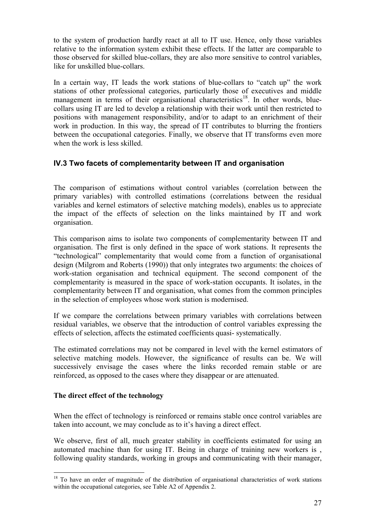to the system of production hardly react at all to IT use. Hence, only those variables relative to the information system exhibit these effects. If the latter are comparable to those observed for skilled blue-collars, they are also more sensitive to control variables, like for unskilled blue-collars.

In a certain way, IT leads the work stations of blue-collars to "catch up" the work stations of other professional categories, particularly those of executives and middle management in terms of their organisational characteristics<sup>18</sup>. In other words, bluecollars using IT are led to develop a relationship with their work until then restricted to positions with management responsibility, and/or to adapt to an enrichment of their work in production. In this way, the spread of IT contributes to blurring the frontiers between the occupational categories. Finally, we observe that IT transforms even more when the work is less skilled.

# **IV.3 Two facets of complementarity between IT and organisation**

The comparison of estimations without control variables (correlation between the primary variables) with controlled estimations (correlations between the residual variables and kernel estimators of selective matching models), enables us to appreciate the impact of the effects of selection on the links maintained by IT and work organisation.

This comparison aims to isolate two components of complementarity between IT and organisation. The first is only defined in the space of work stations. It represents the "technological" complementarity that would come from a function of organisational design (Milgrom and Roberts (1990)) that only integrates two arguments: the choices of work-station organisation and technical equipment. The second component of the complementarity is measured in the space of work-station occupants. It isolates, in the complementarity between IT and organisation, what comes from the common principles in the selection of employees whose work station is modernised.

If we compare the correlations between primary variables with correlations between residual variables, we observe that the introduction of control variables expressing the effects of selection, affects the estimated coefficients quasi- systematically.

The estimated correlations may not be compared in level with the kernel estimators of selective matching models. However, the significance of results can be. We will successively envisage the cases where the links recorded remain stable or are reinforced, as opposed to the cases where they disappear or are attenuated.

# **The direct effect of the technology**

When the effect of technology is reinforced or remains stable once control variables are taken into account, we may conclude as to it's having a direct effect.

We observe, first of all, much greater stability in coefficients estimated for using an automated machine than for using IT. Being in charge of training new workers is , following quality standards, working in groups and communicating with their manager,

 $\overline{a}$ <sup>18</sup> To have an order of magnitude of the distribution of organisational characteristics of work stations within the occupational categories, see Table A2 of Appendix 2.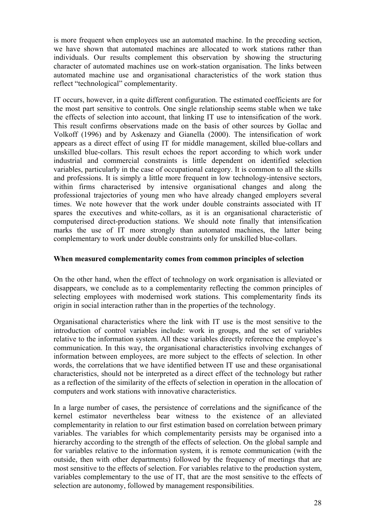is more frequent when employees use an automated machine. In the preceding section, we have shown that automated machines are allocated to work stations rather than individuals. Our results complement this observation by showing the structuring character of automated machines use on work-station organisation. The links between automated machine use and organisational characteristics of the work station thus reflect "technological" complementarity.

IT occurs, however, in a quite different configuration. The estimated coefficients are for the most part sensitive to controls. One single relationship seems stable when we take the effects of selection into account, that linking IT use to intensification of the work. This result confirms observations made on the basis of other sources by Gollac and Volkoff (1996) and by Askenazy and Gianella (2000). The intensification of work appears as a direct effect of using IT for middle management, skilled blue-collars and unskilled blue-collars. This result echoes the report according to which work under industrial and commercial constraints is little dependent on identified selection variables, particularly in the case of occupational category. It is common to all the skills and professions. It is simply a little more frequent in low technology-intensive sectors, within firms characterised by intensive organisational changes and along the professional trajectories of young men who have already changed employers several times. We note however that the work under double constraints associated with IT spares the executives and white-collars, as it is an organisational characteristic of computerised direct-production stations. We should note finally that intensification marks the use of IT more strongly than automated machines, the latter being complementary to work under double constraints only for unskilled blue-collars.

## **When measured complementarity comes from common principles of selection**

On the other hand, when the effect of technology on work organisation is alleviated or disappears, we conclude as to a complementarity reflecting the common principles of selecting employees with modernised work stations. This complementarity finds its origin in social interaction rather than in the properties of the technology.

Organisational characteristics where the link with IT use is the most sensitive to the introduction of control variables include: work in groups, and the set of variables relative to the information system. All these variables directly reference the employee's communication. In this way, the organisational characteristics involving exchanges of information between employees, are more subject to the effects of selection. In other words, the correlations that we have identified between IT use and these organisational characteristics, should not be interpreted as a direct effect of the technology but rather as a reflection of the similarity of the effects of selection in operation in the allocation of computers and work stations with innovative characteristics.

In a large number of cases, the persistence of correlations and the significance of the kernel estimator nevertheless bear witness to the existence of an alleviated complementarity in relation to our first estimation based on correlation between primary variables. The variables for which complementarity persists may be organised into a hierarchy according to the strength of the effects of selection. On the global sample and for variables relative to the information system, it is remote communication (with the outside, then with other departments) followed by the frequency of meetings that are most sensitive to the effects of selection. For variables relative to the production system, variables complementary to the use of IT, that are the most sensitive to the effects of selection are autonomy, followed by management responsibilities.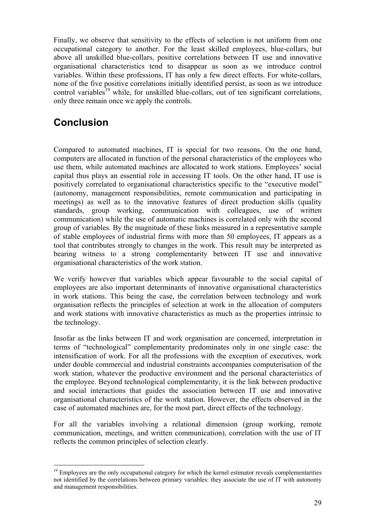Finally, we observe that sensitivity to the effects of selection is not uniform from one occupational category to another. For the least skilled employees, blue-collars, but above all unskilled blue-collars, positive correlations between IT use and innovative organisational characteristics tend to disappear as soon as we introduce control variables. Within these professions, IT has only a few direct effects. For white-collars, none of the five positive correlations initially identified persist, as soon as we introduce control variables<sup>19</sup> while, for unskilled blue-collars, out of ten significant correlations, only three remain once we apply the controls.

# **Conclusion**

Compared to automated machines, IT is special for two reasons. On the one hand, computers are allocated in function of the personal characteristics of the employees who use them, while automated machines are allocated to work stations. Employees' social capital thus plays an essential role in accessing IT tools. On the other hand, IT use is positively correlated to organisational characteristics specific to the "executive model" (autonomy, management responsibilities, remote communication and participating in meetings) as well as to the innovative features of direct production skills (quality standards, group working, communication with colleagues, use of written communication) while the use of automatic machines is correlated only with the second group of variables. By the magnitude of these links measured in a representative sample of stable employees of industrial firms with more than 50 employees, IT appears as a tool that contributes strongly to changes in the work. This result may be interpreted as bearing witness to a strong complementarity between IT use and innovative organisational characteristics of the work station.

We verify however that variables which appear favourable to the social capital of employees are also important determinants of innovative organisational characteristics in work stations. This being the case, the correlation between technology and work organisation reflects the principles of selection at work in the allocation of computers and work stations with innovative characteristics as much as the properties intrinsic to the technology.

Insofar as the links between IT and work organisation are concerned, interpretation in terms of "technological" complementarity predominates only in one single case: the intensification of work. For all the professions with the exception of executives, work under double commercial and industrial constraints accompanies computerisation of the work station, whatever the productive environment and the personal characteristics of the employee. Beyond technological complementarity, it is the link between productive and social interactions that guides the association between IT use and innovative organisational characteristics of the work station. However, the effects observed in the case of automated machines are, for the most part, direct effects of the technology.

For all the variables involving a relational dimension (group working, remote communication, meetings, and written communication), correlation with the use of IT reflects the common principles of selection clearly.

 $\overline{a}$ <sup>19</sup> Employees are the only occupational category for which the kernel estimator reveals complementarities not identified by the correlations between primary variables: they associate the use of IT with autonomy and management responsibilities.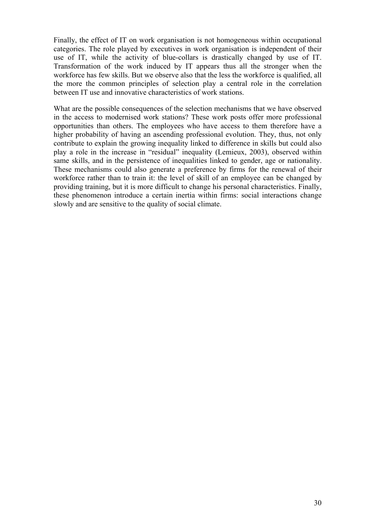Finally, the effect of IT on work organisation is not homogeneous within occupational categories. The role played by executives in work organisation is independent of their use of IT, while the activity of blue-collars is drastically changed by use of IT. Transformation of the work induced by IT appears thus all the stronger when the workforce has few skills. But we observe also that the less the workforce is qualified, all the more the common principles of selection play a central role in the correlation between IT use and innovative characteristics of work stations.

What are the possible consequences of the selection mechanisms that we have observed in the access to modernised work stations? These work posts offer more professional opportunities than others. The employees who have access to them therefore have a higher probability of having an ascending professional evolution. They, thus, not only contribute to explain the growing inequality linked to difference in skills but could also play a role in the increase in "residual" inequality (Lemieux, 2003), observed within same skills, and in the persistence of inequalities linked to gender, age or nationality. These mechanisms could also generate a preference by firms for the renewal of their workforce rather than to train it: the level of skill of an employee can be changed by providing training, but it is more difficult to change his personal characteristics. Finally, these phenomenon introduce a certain inertia within firms: social interactions change slowly and are sensitive to the quality of social climate.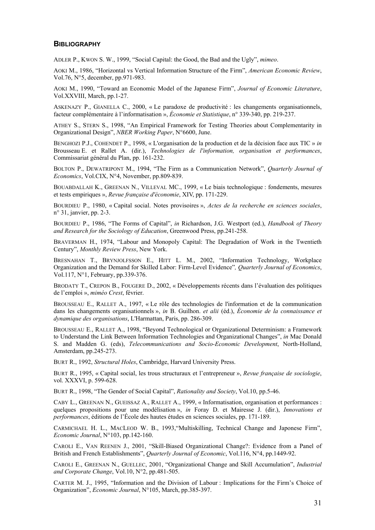#### **BIBLIOGRAPHY**

ADLER P., KWON S. W., 1999, "Social Capital: the Good, the Bad and the Ugly", *mimeo*.

AOKI M., 1986, "Horizontal vs Vertical Information Structure of the Firm", *American Economic Review*, Vol.76, N°5, december, pp.971-983.

AOKI M., 1990, "Toward an Economic Model of the Japanese Firm", *Journal of Economic Literature*, Vol.XXVIII, March, pp.1-27.

ASKENAZY P., GIANELLA C., 2000, « Le paradoxe de productivité : les changements organisationnels, facteur complémentaire à l'informatisation », *Économie et Statistique*, n° 339-340, pp. 219-237.

ATHEY S., STERN S., 1998, "An Empirical Framework for Testing Theories about Complementarity in Organizational Design", *NBER Working Paper*, N°6600, June.

BENGHOZI P.J., COHENDET P., 1998, « L'organisation de la production et de la décision face aux TIC » *in* Brousseau E. et Rallet A. (dir.), *Technologies de l'information, organisation et performances*, Commissariat général du Plan, pp. 161-232.

BOLTON P., DEWATRIPONT M., 1994, "The Firm as a Communication Network", *Quarterly Journal of Economics*, Vol.CIX, N°4, November, pp.809-839.

BOUABDALLAH K., GREENAN N., VILLEVAL MC., 1999, « Le biais technologique : fondements, mesures et tests empiriques », *Revue française d'économie*, XIV, pp. 171-229.

BOURDIEU P., 1980, « Capital social. Notes provisoires », *Actes de la recherche en sciences sociales*, n° 31, janvier, pp. 2-3.

BOURDIEU P., 1986, "The Forms of Capital", *in* Richardson, J.G. Westport (ed.), *Handbook of Theory and Research for the Sociology of Education*, Greenwood Press, pp.241-258.

BRAVERMAN H., 1974, "Labour and Monopoly Capital: The Degradation of Work in the Twentieth Century", *Monthly Review Press*, New York.

BRESNAHAN T., BRYNJOLFSSON E., HITT L. M., 2002, "Information Technology, Workplace Organization and the Demand for Skilled Labor: Firm-Level Evidence"*, Quarterly Journal of Economics*, Vol.117, N°1, February, pp.339-376.

BRODATY T., CREPON B., FOUGERE D., 2002, « Développements récents dans l'évaluation des politiques de l'emploi », *miméo Crest*, février.

BROUSSEAU E., RALLET A., 1997, « Le rôle des technologies de l'information et de la communication dans les changements organisationnels », *in* B. Guilhon. *et alii* (éd.), *Économie de la connaissance et dynamique des organisations*, L'Harmattan, Paris, pp. 286-309.

BROUSSEAU E., RALLET A., 1998, "Beyond Technological or Organizational Determinism: a Framework to Understand the Link Between Information Technologies and Organizational Changes", *in* Mac Donald S. and Madden G. (eds), *Telecommunications and Socio-Economic Development*, North-Holland, Amsterdam, pp.245-273.

BURT R., 1992, *Structural Holes*, Cambridge, Harvard University Press.

BURT R., 1995, « Capital social, les trous structuraux et l'entrepreneur », *Revue française de sociologie*, vol. XXXVI, p. 599-628.

BURT R., 1998, "The Gender of Social Capital", *Rationality and Society*, Vol.10, pp.5-46.

CABY L., GREENAN N., GUEISSAZ A., RALLET A., 1999, « Informatisation, organisation et performances : quelques propositions pour une modélisation », *in* Foray D. et Mairesse J. (dir.), *Innovations et performances*, éditions de l'École des hautes études en sciences sociales, pp. 171-189.

CARMICHAEL H. L., MACLEOD W. B., 1993,"Multiskilling, Technical Change and Japonese Firm", *Economic Journal*, N°103, pp.142-160.

CAROLI E., VAN REENEN J., 2001, "Skill-Biased Organizational Change?: Evidence from a Panel of British and French Establishments", *Quarterly Journal of Economic*, Vol.116, N°4, pp.1449-92.

CAROLI E., GREENAN N., GUELLEC, 2001, "Organizational Change and Skill Accumulation", *Industrial and Corporate Change*, Vol.10, N°2, pp.481-505.

CARTER M. J., 1995, "Information and the Division of Labour : Implications for the Firm's Choice of Organization", *Economic Journal*, N°105, March, pp.385-397.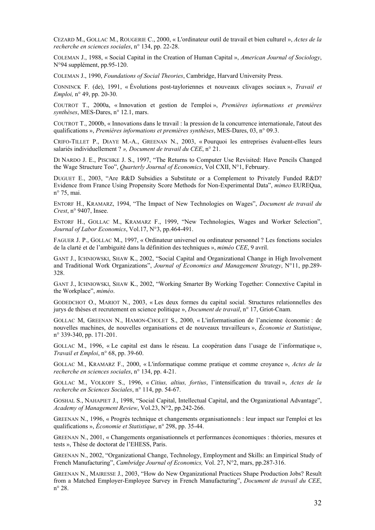CEZARD M., GOLLAC M., ROUGERIE C., 2000, « L'ordinateur outil de travail et bien culturel », *Actes de la recherche en sciences sociales*, n° 134, pp. 22-28.

COLEMAN J., 1988, « Social Capital in the Creation of Human Capital », *American Journal of Sociology*, N°94 supplément, pp.95-120.

COLEMAN J., 1990, *Foundations of Social Theories*, Cambridge, Harvard University Press.

CONNINCK F. (de), 1991, « Évolutions post-tayloriennes et nouveaux clivages sociaux », *Travail et Emploi,* n° 49, pp. 20-30.

COUTROT T., 2000a, « Innovation et gestion de l'emploi », *Premières informations et premières synthèses*, MES-Dares, n° 12.1, mars.

COUTROT T., 2000b, « Innovations dans le travail : la pression de la concurrence internationale, l'atout des qualifications », *Premières informations et premières synthèses*, MES-Dares, 03, n° 09.3.

CRIFO-TILLET P., DIAYE M.-A., GREENAN N., 2003, « Pourquoi les entreprises évaluent-elles leurs salariés individuellement ? *», Document de travail du CEE*, n° 21.

DI NARDO J. E., PISCHKE J. S., 1997, "The Returns to Computer Use Revisited: Have Pencils Changed the Wage Structure Too", *Quarterly Journal of Economics*, Vol CXII, N°1, February.

DUGUET E., 2003, "Are R&D Subsidies a Substitute or a Complement to Privately Funded R&D? Evidence from France Using Propensity Score Methods for Non-Experimental Data", *mimeo* EUREQua, n° 75, mai.

ENTORF H., KRAMARZ, 1994, "The Impact of New Technologies on Wages", *Document de travail du Crest*, n° 9407, Insee.

ENTORF H., GOLLAC M., KRAMARZ F., 1999, "New Technologies, Wages and Worker Selection", *Journal of Labor Economics*, Vol.17, N°3, pp.464-491.

FAGUER J. P., GOLLAC M., 1997, « Ordinateur universel ou ordinateur personnel ? Les fonctions sociales de la clarté et de l'ambiguité dans la définition des techniques », *miméo CEE*, 9 avril.

GANT J., ICHNIOWSKI, SHAW K., 2002, "Social Capital and Organizational Change in High Involvement and Traditional Work Organizations", *Journal of Economics and Management Strategy*, N°11, pp.289- 328.

GANT J., ICHNIOWSKI, SHAW K., 2002, "Working Smarter By Working Together: Connextive Capital in the Workplace", *miméo*.

GODEDCHOT O., MARIOT N., 2003, « Les deux formes du capital social. Structures relationnelles des jurys de thèses et recrutement en science politique », *Document de travail*, n° 17, Griot-Cnam.

GOLLAC M, GREENAN N., HAMON-CHOLET S., 2000, « L'informatisation de l'ancienne économie : de nouvelles machines, de nouvelles organisations et de nouveaux travailleurs », *Économie et Statistique*, n° 339-340, pp. 171-201.

GOLLAC M., 1996, « Le capital est dans le réseau. La coopération dans l'usage de l'informatique », *Travail et Emploi*, n° 68, pp. 39-60.

GOLLAC M., KRAMARZ F., 2000, « L'informatique comme pratique et comme croyance », *Actes de la recherche en sciences sociales*, n° 134, pp. 4-21.

GOLLAC M., VOLKOFF S., 1996, « *Citius, altius, fortius*, l'intensification du travail », *Actes de la recherche en Sciences Sociales*, n° 114, pp. 54-67.

GOSHAL S., NAHAPIET J., 1998, "Social Capital, Intellectual Capital, and the Organizational Advantage", *Academy of Management Review*, Vol.23, N°2, pp.242-266.

GREENAN N., 1996, « Progrès technique et changements organisationnels : leur impact sur l'emploi et les qualifications », *Économie et Statistique*, n° 298, pp. 35-44.

GREENAN N., 2001, « Changements organisationnels et performances économiques : théories, mesures et tests », Thèse de doctorat de l'EHESS, Paris.

GREENAN N., 2002, "Organizational Change, Technology, Employment and Skills: an Empirical Study of French Manufacturing", *Cambridge Journal of Economics,* Vol. 27, N°2, mars, pp.287-316.

GREENAN N., MAIRESSE J., 2003, "How do New Organizational Practices Shape Production Jobs? Result from a Matched Employer-Employee Survey in French Manufacturing", *Document de travail du CEE*, n° 28.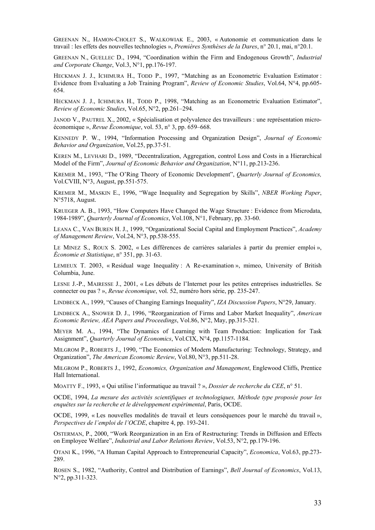GREENAN N., HAMON-CHOLET S., WALKOWIAK E., 2003, « Autonomie et communication dans le travail : les effets des nouvelles technologies », *Premières Synthèses de la Dares*, n° 20.1, mai, n°20.1.

GREENAN N., GUELLEC D., 1994, "Coordination within the Firm and Endogenous Growth", *Industrial and Corporate Change*, Vol.3, N°1, pp.176-197.

HECKMAN J. J., ICHIMURA H., TODD P., 1997, "Matching as an Econometric Evaluation Estimator : Evidence from Evaluating a Job Training Program", *Review of Economic Studies*, Vol.64, N°4, pp.605- 654.

HECKMAN J. J., ICHIMURA H., TODD P., 1998, "Matching as an Econometric Evaluation Estimator", *Review of Economic Studies*, Vol.65, N°2, pp.261–294.

JANOD V., PAUTREL X., 2002, « Spécialisation et polyvalence des travailleurs : une représentation microéconomique », *Revue Économique*, vol. 53, n° 3, pp. 659–668.

KENNEDY P. W., 1994, "Information Processing and Organization Design", *Journal of Economic Behavior and Organization*, Vol.25, pp.37-51.

KEREN M., LEVHARI D., 1989, "Decentralization, Aggregation, control Loss and Costs in a Hierarchical Model of the Firm", *Journal of Economic Behavior and Organization*, N°11, pp.213-236.

KREMER M., 1993, "The O'Ring Theory of Economic Development", *Quarterly Journal of Economics,* Vol.CVIII, N°3, August, pp.551-575.

KREMER M., MASKIN E., 1996, "Wage Inequality and Segregation by Skills", *NBER Working Paper*, N°5718, August.

KRUEGER A. B., 1993, "How Computers Have Changed the Wage Structure : Evidence from Microdata, 1984-1989", *Quarterly Journal of Economics*, Vol.108, N°1, February, pp. 33-60.

LEANA C., VAN BUREN H. J., 1999, "Organizational Social Capital and Employment Practices", *Academy of Management Review*, Vol.24, N°3, pp.538-555.

LE MINEZ S., ROUX S. 2002, « Les différences de carrières salariales à partir du premier emploi », *Économie et Statistique*, n° 351, pp. 31-63.

LEMIEUX T. 2003, « Residual wage Inequality : A Re-examination », mimeo, University of British Columbia, June.

LESNE J.-P., MAIRESSE J., 2001, « Les débuts de l'Internet pour les petites entreprises industrielles. Se connecter ou pas ? », *Revue économique*, vol. 52, numéro hors série, pp. 235-247.

LINDBECK A., 1999, "Causes of Changing Earnings Inequality", *IZA Discussion Papers*, N°29, January.

LINDBECK A., SNOWER D. J., 1996, "Reorganization of Firms and Labor Market Inequality", *American Economic Review, AEA Papers and Proceedings*, Vol.86, N°2, May, pp.315-321.

MEYER M. A., 1994, "The Dynamics of Learning with Team Production: Implication for Task Assignment", *Quarterly Journal of Economics*, Vol.CIX, N°4, pp.1157-1184.

MILGROM P., ROBERTS J., 1990, "The Economics of Modern Manufacturing: Technology, Strategy, and Organization", *The American Economic Review*, Vol.80, N°3, pp.511-28.

MILGROM P., ROBERTS J., 1992, *Economics, Organization and Management*, Englewood Cliffs, Prentice Hall International.

MOATTY F., 1993, « Qui utilise l'informatique au travail ? », *Dossier de recherche du CEE*, n° 51.

OCDE, 1994, *La mesure des activités scientifiques et technologiques, Méthode type proposée pour les enquêtes sur la recherche et le développement expérimental*, Paris, OCDE.

OCDE, 1999, « Les nouvelles modalités de travail et leurs conséquences pour le marché du travail », *Perspectives de l'emploi de l'OCDE*, chapitre 4, pp. 193-241.

OSTERMAN, P., 2000, "Work Reorganization in an Era of Restructuring: Trends in Diffusion and Effects on Employee Welfare", *Industrial and Labor Relations Review*, Vol.53, N°2, pp.179-196.

OTANI K., 1996, "A Human Capital Approach to Entrepreneurial Capacity", *Economica*, Vol.63, pp.273- 289.

ROSEN S., 1982, "Authority, Control and Distribution of Earnings", *Bell Journal of Economics*, Vol.13, N°2, pp.311-323.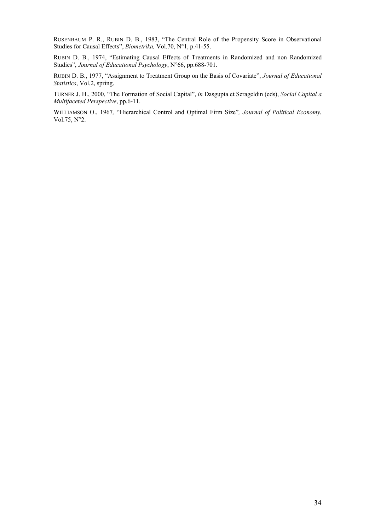ROSENBAUM P. R., RUBIN D. B., 1983, "The Central Role of the Propensity Score in Observational Studies for Causal Effects", *Biometrika,* Vol.70, N°1, p.41-55.

RUBIN D. B., 1974, "Estimating Causal Effects of Treatments in Randomized and non Randomized Studies", *Journal of Educational Psychology*, N°66, pp.688-701.

RUBIN D. B., 1977, "Assignment to Treatment Group on the Basis of Covariate", *Journal of Educational Statistics*, Vol.2, spring.

TURNER J. H., 2000, "The Formation of Social Capital", *in* Dasgupta et Serageldin (eds), *Social Capital a Multifaceted Perspective*, pp.6-11.

WILLIAMSON O., 1967*,* "Hierarchical Control and Optimal Firm Size"*, Journal of Political Economy*, Vol.75, N°2.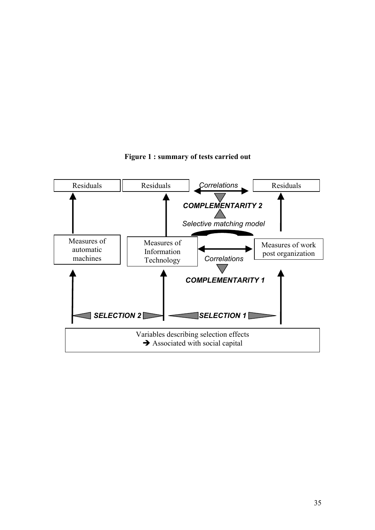

**Figure 1 : summary of tests carried out**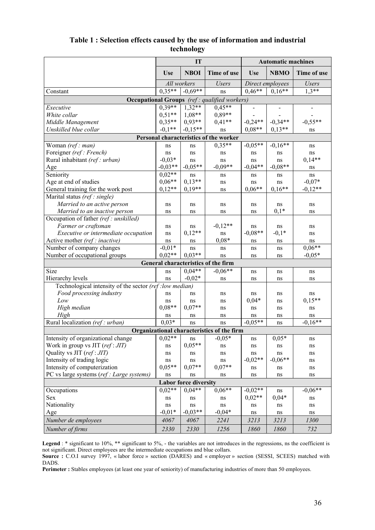| Table 1: Selection effects caused by the use of information and industrial |
|----------------------------------------------------------------------------|
| technology                                                                 |

|                                                         |              | IT                           |                                                     | <b>Automatic machines</b> |                  |              |  |
|---------------------------------------------------------|--------------|------------------------------|-----------------------------------------------------|---------------------------|------------------|--------------|--|
|                                                         | <b>Use</b>   | <b>NBOI</b>                  | Time of use                                         | <b>Use</b>                | <b>NBMO</b>      | Time of use  |  |
|                                                         |              | All workers                  | <b>Users</b>                                        |                           | Direct employees | <b>Users</b> |  |
| Constant                                                | $0.35**$     | $-0.69**$                    | ns                                                  | $0.46**$                  | $0.16**$         | $1.3**$      |  |
|                                                         |              |                              | <b>Occupational Groups</b> (ref: qualified workers) |                           |                  |              |  |
| Executive                                               | $0.39**$     | $1,32**$                     | $0.45**$                                            |                           |                  |              |  |
| White collar                                            | $0,51**$     | $1,08**$                     | $0.89**$                                            |                           |                  |              |  |
| Middle Management                                       | $0,35**$     | $0,93**$                     | $0,41**$                                            | $-0.24**$                 | $-0,34**$        | $-0,55**$    |  |
| Unskilled blue collar                                   | $-0.1**$     | $-0.15**$                    | ns                                                  | $0.08**$                  | $0.13**$         | ns           |  |
|                                                         |              |                              | Personal characteristics of the worker              |                           |                  |              |  |
| Woman (ref: man)                                        | ns           | ns                           | $0,35**$                                            | $-0.05**$                 | $-0,16**$        | ns           |  |
| Foreigner (ref: French)                                 | ns           | ns                           | ns                                                  | ns                        | ns               | ns           |  |
| Rural inhabitant (ref: urban)                           | $-0.03*$     | ns                           | ns                                                  | ns                        | ns               | $0,14**$     |  |
| Age                                                     | $-0.03**$    | $-0.05**$                    | $-0.09**$                                           | $-0.04**$                 | $-0.08**$        | ns           |  |
| Seniority                                               | $0.02**$     | ns                           | ns                                                  | ns                        | ns               | ns           |  |
| Age at end of studies                                   | $0,06**$     | $0.13**$                     | ns                                                  | ns                        | ns               | $-0.07*$     |  |
| General training for the work post                      | $0,12**$     | $0,19**$                     | ns                                                  | $0.06**$                  | $0.16**$         | $-0.12**$    |  |
| Marital status (ref: single)                            |              |                              |                                                     |                           |                  |              |  |
| Married to an active person                             | ns           | ns                           | ns                                                  | ns                        | ns               | ns           |  |
| Married to an inactive person                           | ns           | ns                           | ns                                                  | ns                        | $0,1*$           | ns           |  |
| Occupation of father (ref: unskilled)                   |              |                              |                                                     |                           |                  |              |  |
| Farmer or craftsman                                     | ns           | ns                           | $-0,12**$                                           | ns                        | ns               | ns           |  |
| Executive or intermediate occupation                    | ns           | $0,12**$                     | ns                                                  | $-0.08**$                 | $-0,1*$          | ns           |  |
| Active mother (ref: inactive)                           | ns           | ns                           | $0.08*$                                             | ns                        | ns               | ns           |  |
| Number of company changes                               | $-0.01*$     | ns                           | ns                                                  | ns                        | ns               | $0.06**$     |  |
| Number of occupational groups                           | $0.02**$     | $0.03**$                     | ns                                                  | ns                        | ns               | $-0.05*$     |  |
|                                                         |              |                              | General characteristics of the firm                 |                           |                  |              |  |
| Size                                                    | ns           | $0,04**$                     | $-0.06**$                                           | ns                        | ns               | ns           |  |
| Hierarchy levels                                        | ns           | $-0.02*$                     | ns                                                  | ns                        | ns               | ns           |  |
| Technological intensity of the sector (ref: low median) |              |                              |                                                     |                           |                  |              |  |
| Food processing industry                                | ns           | ns                           | ns                                                  | ns                        | ns               | ns           |  |
| Low                                                     | ns           | ns                           | ns                                                  | $0,04*$                   | ns               | $0,15**$     |  |
| High median                                             | $0.08**$     | $0.07**$                     | ns                                                  | ns                        | ns               | ns           |  |
| High                                                    | ns           | ns                           | ns                                                  | ns                        | ns               | ns           |  |
| Rural localization (ref: urban)                         | $0.03*$      | ns                           | ns                                                  | $-0.05**$                 | ns               | $-0.16**$    |  |
|                                                         |              |                              | Organizational characteristics of the firm          |                           |                  |              |  |
| Intensity of organizational change                      | $  0.02**  $ | $\bf ns$                     | $-0,05*$                                            |                           | $0,05*$          |              |  |
| Work in group vs JIT (ref: JIT)                         | ns           | $0.05**$                     | ns                                                  | ns<br>ns                  | ns               | пs<br>ns     |  |
| Quality vs JIT (ref: JIT)                               | ns           | ns                           | ns                                                  | ns                        | ns               | ns           |  |
| Intensity of trading logic                              | ns           | ns                           | ns                                                  | $-0,02**$                 | $-0.06**$        | ns           |  |
| Intensity of computerization                            | $0.05**$     | $0.07**$                     | $0.07**$                                            | ns                        | ns               | ns           |  |
| PC vs large systems (ref : Large systems)               | ns           | ns                           | ns                                                  | ns                        | ns               | ns           |  |
|                                                         |              | <b>Labor force diversity</b> |                                                     |                           |                  |              |  |
|                                                         | $0.02**$     | $0.04**$                     | $0,06**$                                            | $-0.02**$                 |                  | $-0,06**$    |  |
| Occupations<br>Sex                                      |              |                              |                                                     | $0,02**$                  | ns<br>$0,04*$    |              |  |
| Nationality                                             | ns<br>ns     | ns                           | ns<br>ns                                            |                           |                  | ns           |  |
| Age                                                     | $-0.01*$     | ns<br>$-0.03**$              | $-0,04*$                                            | ns<br>ns                  | ns<br>ns         | ns<br>ns     |  |
|                                                         |              |                              |                                                     |                           |                  |              |  |
| Number de employees                                     | 4067         | 4067                         | 2241                                                | 3213                      | 3213             | 1300         |  |
| Number of firms                                         | 2330         | 2330                         | 1256                                                | 1860                      | 1860             | 732          |  |

Legend : \* significant to 10%, \*\* significant to 5%, - the variables are not introduces in the regressions, ns the coefficient is not significant. Direct employees are the intermediate occupations and blue collars.

**Source :** C.O.I survey 1997, « labor force » section (DARES) and « employer » section (SESSI, SCEES) matched with DADS.

**Perimeter :** Stables employees (at least one year of seniority) of manufacturing industries of more than 50 employees.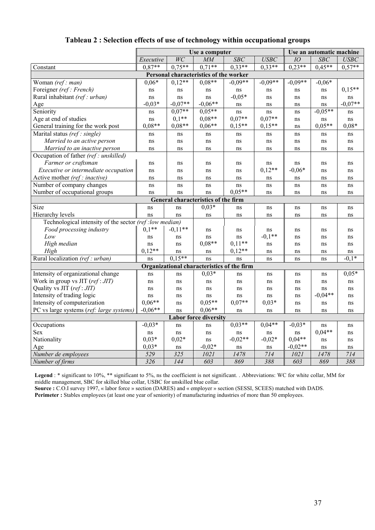|                                                         | Use a computer                              |           |                                            |           |           |           | Use an automatic machine |           |  |  |  |
|---------------------------------------------------------|---------------------------------------------|-----------|--------------------------------------------|-----------|-----------|-----------|--------------------------|-----------|--|--|--|
|                                                         | WC<br>SBC<br><b>USBC</b><br>MM<br>Executive |           |                                            |           |           | IO        | SBC                      | USBC      |  |  |  |
| Constant                                                | $0.87**$                                    | $0.75***$ | $0.71**$                                   | $0.33**$  | $0.33**$  | $0.23**$  | $0.45**$                 | $0.57**$  |  |  |  |
| Personal characteristics of the worker                  |                                             |           |                                            |           |           |           |                          |           |  |  |  |
| Woman (ref: man)                                        | $0.06*$                                     | $0,12**$  | $0.08**$                                   | $-0.09**$ | $-0.09**$ | $-0.09**$ | $-0.06*$                 |           |  |  |  |
| Foreigner (ref: French)                                 | ns                                          | ns        | ns                                         | ns        | ns        | ns        | ns                       | $0.15**$  |  |  |  |
| Rural inhabitant (ref: urban)                           | ns                                          | ns        | ns                                         | $-0.05*$  | ns        | ns        | ns                       | ns        |  |  |  |
| Age                                                     | $-0.03*$                                    | $-0.07**$ | $-0.06**$                                  | ns        | ns        | ns        | ns                       | $-0.07**$ |  |  |  |
| Seniority                                               | ns                                          | $0.07**$  | $0.05**$                                   | ns        | ns        | ns        | $-0.05**$                | ns        |  |  |  |
| Age at end of studies                                   | ns                                          | $0,1**$   | $0.08**$                                   | $0.07**$  | $0.07**$  | ns        | ns                       | ns        |  |  |  |
| General training for the work post                      | $0.08**$                                    | $0.08**$  | $0.06**$                                   | $0.15**$  | $0.15**$  | ns        | $0.05**$                 | $0.08*$   |  |  |  |
| Marital status (ref: single)                            | ns                                          | ns        | ns                                         | ns        | ns        | ns        | ns                       | ns        |  |  |  |
| Married to an active person                             | ns                                          | ns        | ns                                         | ns        | ns        | ns        | ns                       | ns        |  |  |  |
| Married to an inactive person                           | ns                                          | ns        | ns                                         | ns        | ns        | ns        | ns                       | ns        |  |  |  |
| Occupation of father (ref: unskilled)                   |                                             |           |                                            |           |           |           |                          |           |  |  |  |
| Farmer or craftsman                                     | ns                                          | ns        | ns                                         | ns        | ns        | ns        | ns                       | ns        |  |  |  |
| Executive or intermediate occupation                    | ns                                          | ns        | ns                                         | ns        | $0,12**$  | $-0,06*$  | ns                       | ns        |  |  |  |
| Active mother (ref: inactive)                           | ns                                          | ns        | ns                                         | ns        | ns        | ns        | ns                       | ns        |  |  |  |
| Number of company changes                               | ns                                          | ns        | ns                                         | ns        | ns        | ns        | ns                       | ns        |  |  |  |
| Number of occupational groups                           | ns                                          | ns        | ns                                         | $0.05**$  | ns        | ns        | ns                       | ns        |  |  |  |
| General characteristics of the firm                     |                                             |           |                                            |           |           |           |                          |           |  |  |  |
| Size                                                    | ns                                          | ns        | $0.03*$                                    | ns        | ns        | ns        | ns                       | ns        |  |  |  |
| Hierarchy levels                                        | ns                                          | ns        | ns                                         | ns        | ns        | ns        | ns                       | ns        |  |  |  |
| Technological intensity of the sector (ref: low median) |                                             |           |                                            |           |           |           |                          |           |  |  |  |
| Food processing industry                                | $0,1**$                                     | $-0.11**$ | ns                                         | ns        | ns        | ns        | ns                       | ns        |  |  |  |
| Low                                                     | ns                                          | ns        | ns                                         | ns        | $-0.1**$  | ns        | ns                       | ns        |  |  |  |
| High median                                             | ns                                          | ns        | $0.08**$                                   | $0,11**$  | ns        | ns        | ns                       | ns        |  |  |  |
| High                                                    | $0.12**$                                    | ns        | ns                                         | $0,12**$  | ns        | ns        | ns                       | ns        |  |  |  |
| Rural localization (ref: urban)                         | ns                                          | $0.15**$  | ns                                         | ns        | ns        | ns        | ns                       | $-0.1*$   |  |  |  |
|                                                         |                                             |           | Organizational characteristics of the firm |           |           |           |                          |           |  |  |  |
| Intensity of organizational change                      | ns                                          | ns        | $0,03*$                                    | ns        | ns        | ns        | ns                       | $0,05*$   |  |  |  |
| Work in group vs JIT (ref: JIT)                         | ns                                          | ns        | ns                                         | ns        | ns        | ns        | ns                       | ns        |  |  |  |
| Quality vs JIT (ref: JIT)                               | ns                                          | ns        | ns                                         | ns        | ns        | ns        | ns                       | ns        |  |  |  |
| Intensity of trading logic                              | ns                                          | ns        | ns                                         | ns        | ns        | ns        | $-0.04**$                | ns        |  |  |  |
| Intensity of computerization                            | $0.06**$                                    | ns        | $0.05**$                                   | $0.07**$  | $0.03*$   | ns        | ns                       | ns        |  |  |  |
| PC vs large systems (ref: large systems)                | $-0.06**$                                   | ns        | $0.06**$                                   | ns        | ns        | ns        | ns                       | ns        |  |  |  |
|                                                         |                                             |           | <b>Labor force diversity</b>               |           |           |           |                          |           |  |  |  |
| Occupations                                             | $-0.03*$                                    | ns        | ns                                         | $0,03**$  | $0.04**$  | $-0.03*$  | ns                       | ns        |  |  |  |
| Sex                                                     | ns                                          | ns        | ns                                         | ns        | ns        | ns        | $0,04**$                 | ns        |  |  |  |
| Nationality                                             | $0.03*$                                     | $0.02*$   | ns                                         | $-0.02**$ | $-0.02*$  | $0.04**$  | ns                       | ns        |  |  |  |
| Age                                                     | $0,03*$                                     | ns        | $-0,02*$                                   | ns        | ns        | $-0.02**$ | ns                       | ns        |  |  |  |
| Number de employees                                     | 529                                         | 325       | 1021                                       | 1478      | 714       | 1021      | 1478                     | 714       |  |  |  |
| Number of firms                                         | 326                                         | 144       | 603                                        | 869       | 388       | 603       | 869                      | 388       |  |  |  |

# **Tableau 2 : Selection effects of use of technology within occupational groups**

Legend : \* significant to 10%, \*\* significant to 5%, ns the coefficient is not significant. . Abbreviations: WC for white collar, MM for middle management, SBC for skilled blue collar, USBC for unskilled blue collar.

**Source :** C.O.I survey 1997, « labor force » section (DARES) and « employer » section (SESSI, SCEES) matched with DADS. **Perimeter :** Stables employees (at least one year of seniority) of manufacturing industries of more than 50 employees.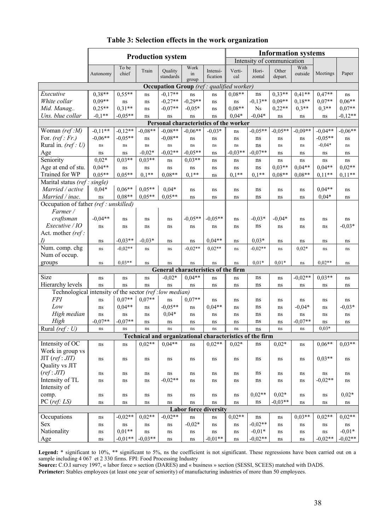|                                                         | <b>Production system</b> |                |           |                                                          |                     |                                    | <b>Information systems</b> |                            |                  |                 |           |           |
|---------------------------------------------------------|--------------------------|----------------|-----------|----------------------------------------------------------|---------------------|------------------------------------|----------------------------|----------------------------|------------------|-----------------|-----------|-----------|
|                                                         |                          |                |           |                                                          |                     |                                    |                            | Intensity of communication |                  |                 |           |           |
|                                                         | Autonomy                 | To be<br>chief | Train     | Quality<br>standards                                     | Work<br>in<br>group | Intensi-<br>fication               | Verti-<br>cal              | Hori-<br>zontal            | Other<br>depart. | With<br>outside | Meetings  | Paper     |
|                                                         |                          |                |           | <b>Occupation Group</b> (ref: qualified worker)          |                     |                                    |                            |                            |                  |                 |           |           |
| Executive                                               | $0.38**$                 | $0,55**$       | ns        | $-0,17**$                                                | ns                  | ns                                 | $0.08**$                   | $\rm ns$                   | $0,33**$         | $0.41**$        | $0,47**$  | ns        |
| White collar                                            | $0.09**$                 | ns             | ns        | $-0,27**$                                                | $-0,29**$           | ns                                 | ns                         | $-0.13**$                  | $0.09**$         | $0.18**$        | $0.07**$  | $0,06**$  |
| Mid. Manag                                              | $0,25**$                 | $0,31**$       | ns        | $-0.07**$                                                | $-0.05*$            | ns                                 | $0.08**$                   | $_{\mathrm{Ns}}$           | $0,22**$         | $0.3**$         | $0.3**$   | $0.07**$  |
| Uns. blue collar                                        | $-0,1**$                 | $-0.05**$      | ns        | ns                                                       | ns                  | ns                                 | $0.04*$                    | $-0,04*$                   | ns               | ns              | ns        | $-0,12**$ |
| Personal characteristics of the worker                  |                          |                |           |                                                          |                     |                                    |                            |                            |                  |                 |           |           |
| Woman (ref:M)                                           | $-0.11**$                | $-0.12**$      | $-0.08**$ | $-0.08**$                                                | $-0.06**$           | $-0.03*$                           | ns                         | $-0.05**$                  | $-0.05**$        | $-0.09**$       | $-0,04**$ | $-0.06**$ |
| For. $(ref:Fr.)$                                        | $-0,06**$                | $-0.05**$      | ns        | $-0.08**$                                                | ns                  | ns                                 | ns                         | ns                         | ns               | ns              | $-0.05**$ | ns        |
| Rural in. $(ref: U)$                                    | ns                       | ns             | ns        | ns                                                       | ns                  | ns                                 | ns                         | ns                         | ns               | ns              | $-0.04*$  | ns        |
| Age                                                     | ns                       | ns             | $-0.02*$  | $-0.02**$                                                | $-0.05**$           | ns                                 | $-0.03**$                  | $-0.07**$                  | ns               | ns              | ns        | ns        |
| Seniority                                               | $0.02*$                  | $0.03**$       | $0.03**$  | ns                                                       | $0,03**$            | ns                                 | ns                         | ns                         | ns               | ns              | ns        | ns        |
| Age at end of stu.                                      | $0.04**$                 | ns             | ns        | ns                                                       | ns                  | ns                                 | ns                         | ns                         | $0.03**$         | $0.04**$        | $0.04**$  | $0.02**$  |
| Trained for WP                                          | $0.05**$                 | $0.05**$       | $0.1**$   | $0.08**$                                                 | $0.1**$             | ns                                 | $0.1**$                    | $0.1**$                    | $0.08**$         | $0.08**$        | $0.11**$  | $0,11**$  |
| Marital status (ref:                                    | single)                  |                |           |                                                          |                     |                                    |                            |                            |                  |                 |           |           |
| Married / active                                        | $0,04*$                  | $0.06**$       | $0.05**$  | $0,04*$                                                  | ns                  | ns                                 | ns                         | ns                         | ns               | ns              | $0.04**$  | ns        |
| Married / inac.                                         | ns                       | $0.08**$       | $0.05**$  | $0.05**$                                                 | ns                  | ns                                 | ns                         | ns                         | ns               | ns              | $0,04*$   | ns        |
| Occupation of father (ref: unskilled)<br>Farmer /       |                          |                |           |                                                          |                     |                                    |                            |                            |                  |                 |           |           |
| craftsman                                               | $-0,04**$                | ns             | ns        | ns                                                       | $-0.05**$           | $-0.05**$                          | ns                         | $-0.03*$                   | $-0.04*$         | ns              | ns        | ns        |
| Executive / IO<br>Act. mother (ref:                     | ns                       | ns             | ns        | ns                                                       | ns                  | ns                                 | ns                         | ns                         | ns               | ns              | ns        | $-0,03*$  |
|                                                         | ns                       | $-0.03**$      | $-0.03*$  | ns                                                       | ns                  | $0.04**$                           | ns                         | $0.03*$                    | ns               | ns              | ns        | ns        |
| Num. comp. chg                                          | ns                       | $-0.02**$      | ns        | ns                                                       | $-0.02**$           | $0,02**$                           | ns                         | $-0.02**$                  | ns               | $0.02*$         | ns        | $\rm ns$  |
| Num of occup.                                           |                          |                |           |                                                          |                     |                                    |                            |                            |                  |                 |           |           |
| groups                                                  | ns                       | $0.03**$       | ns        | ns                                                       | ns                  | ns                                 | ns                         | $0,01*$                    | $0.01*$          | ns              | $0,02**$  | ns        |
|                                                         |                          |                |           | General characteristics of the firm                      |                     |                                    |                            |                            |                  |                 |           |           |
| Size                                                    | ns                       | ns             | ns        | $-0,02*$                                                 | $0.04**$            | ns                                 | ns                         | ns                         | ns               | $-0,02**$       | $0.03**$  | ns        |
| Hierarchy levels                                        | ns                       | ns             | ns        | ns                                                       | ns                  | ns                                 | ns                         | ns                         | ns               | ns              | ns        | ns        |
| Technological intensity of the sector (ref: low median) |                          |                |           |                                                          |                     |                                    |                            |                            |                  |                 |           |           |
| <b>FPI</b>                                              | ns                       | $0.07**$       | $0.07**$  | ns                                                       | $0.07**$            | ns                                 | ns                         | ns                         | ns               | ns              | ns        | ns        |
| Low                                                     | ns                       | $0.04**$       | ns        | $-0.05**$                                                | ns                  | $0,04**$                           | ns                         | ns                         | ns               | $-0.04*$        | ns        | $-0,03*$  |
| High median                                             | ns                       | ns             | ns        | $0,04*$                                                  | ns                  | ns                                 | ns                         | ns                         | ns               | ns              | ns        | ns        |
| High                                                    | $-0.07**$                | $-0.07**$      | ns        | ns                                                       | ns                  | ns                                 | ns                         | ns                         | ns               | $-0.07**$       | ns        | ns        |
| Rural (ref : $U$ )                                      | ns                       | ns             | ns        | ns                                                       | ns                  | ns                                 | ns                         | ns                         | ns               | ns              | $0.03*$   |           |
|                                                         |                          |                |           | Technical and organizational characteristics of the firm |                     |                                    |                            |                            |                  |                 |           |           |
| Intensity of OC                                         | ns                       | ns             | $0.02**$  | $0,04**$                                                 | ns                  | $0.02**$                           | $0.02*$                    | ns                         | $0,02*$          | ns              | $0.06**$  | $0.03**$  |
| Work in group vs                                        |                          |                |           |                                                          |                     |                                    |                            |                            |                  |                 |           |           |
| $JIT$ (ref: $JIT$ )                                     | ns                       | ns             | ns        | ns                                                       | ns                  | ns                                 | ns                         | ns                         | ns               | ns              | $0,03**$  | ns        |
| Quality vs JIT                                          |                          |                |           |                                                          |                     |                                    |                            |                            |                  |                 |           |           |
| (ref:JIT)                                               | ns                       | ns             | ns        | ns                                                       | ns                  | ns                                 | ns                         | ns                         | ns               | ns              | ns        | ns        |
| Intensity of TL                                         | ns                       | ns             | ns        | $-0,02**$                                                | ns                  | ns                                 | ns                         | ns                         | ns               | ns              | $-0,02**$ | ns        |
| Intensity of                                            |                          |                |           |                                                          |                     |                                    |                            | $0.02**$                   | $0.02*$          |                 |           | $0,02*$   |
| comp.<br>$PC$ (ref: $LS$ )                              | ns                       | ns             | ns        | ns                                                       | ns                  | ns                                 | ns                         | ns                         | $-0.03**$        | ns              | ns        |           |
|                                                         | ns                       | ns             | ns        | ns                                                       | ns                  | ns<br><b>Labor force diversity</b> | ns                         |                            |                  | ns              | ns        | ns        |
| Occupations                                             |                          | $-0.02**$      | $0.02**$  | $-0.02**$                                                |                     |                                    | $0.02**$                   | ns                         |                  | $0.03**$        | $0.02**$  | $0,02**$  |
| Sex                                                     | ns<br>ns                 | ns             | ns        | ns                                                       | ns<br>$-0,02*$      | ns<br>ns                           | ns                         | $-0.02**$                  | ns<br>ns         | ns              | ns        | ns        |
| Nationality                                             | ns                       | $0.01**$       | ns        | ns                                                       | ns                  | ns                                 | ns                         | $-0.01*$                   | ns               | ns              | ns        | $-0.01*$  |
| Age                                                     | ns                       | $-0.01**$      | $-0.03**$ | ns                                                       | ns                  | $-0.01**$                          | ns                         | $-0.02**$                  | ns               | ns              | $-0.02**$ | $-0.02**$ |
|                                                         |                          |                |           |                                                          |                     |                                    |                            |                            |                  |                 |           |           |

# **Table 3: Selection effects in the work organization**

Legend: \* significant to 10%, \*\* significant to 5%, ns the coefficient is not significant. These regressions have been carried out on a sample including 4 067 et 2 330 firms. FPI: Food Processing Industry

**Source:** C.O.I survey 1997, « labor force » section (DARES) and « business » section (SESSI, SCEES) matched with DADS.

Perimeter: Stables employees (at least one year of seniority) of manufacturing industries of more than 50 employees.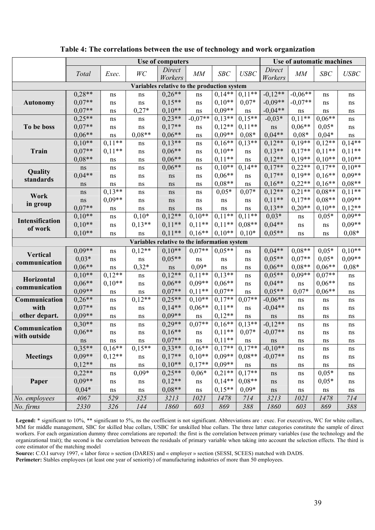|                                              | Use of computers |          |          |                   |           |            |             | Use of automatic machines |           |            |          |
|----------------------------------------------|------------------|----------|----------|-------------------|-----------|------------|-------------|---------------------------|-----------|------------|----------|
|                                              | Total            | Exec.    | WC       | Direct<br>Workers | MM        | <b>SBC</b> | <b>USBC</b> | Direct<br>Workers         | MM        | <b>SBC</b> | USBC     |
| Variables relative to the production system  |                  |          |          |                   |           |            |             |                           |           |            |          |
|                                              | $0,28**$         | ns       | ns       | $0,26**$          | $\rm ns$  | $0,14**$   | $0,11**$    | $-0,12**$                 | $-0,06**$ | ns         | ns       |
| <b>Autonomy</b>                              | $0.07**$         | ns       | ns       | $0,15**$          | ns        | $0.10**$   | $0.07*$     | $-0.09**$                 | $-0.07**$ | ns         | ns       |
|                                              | $0.07**$         | ns       | $0,27*$  | $0.10**$          | ns        | $0.09**$   | $\rm ns$    | $-0.04**$                 | ns        | ns         | ns       |
|                                              | $0.25**$         | ns       | ns       | $0,23**$          | $-0.07**$ | $0.13**$   | $0.15**$    | $-0,03*$                  | $0.11**$  | $0.06**$   | ns       |
| To be boss                                   | $0.07**$         | ns       | ns       | $0,17**$          | ns        | $0,12**$   | $0,11**$    | ns                        | $0.06**$  | $0,05*$    | ns       |
|                                              | $0.06**$         | $\rm ns$ | $0.08**$ | $0.06**$          | ns        | $0.09**$   | $0.08*$     | $0,04**$                  | $0.08*$   | $0,04*$    | ns       |
|                                              | $0,10**$         | $0,11**$ | ns       | $0,13**$          | ns        | $0,16**$   | $0,13**$    | $0,12**$                  | $0,19**$  | $0,12**$   | $0,14**$ |
| Train                                        | $0.07**$         | $0,11**$ | ns       | $0.06**$          | ns        | $0,10**$   | $\rm ns$    | $0,13**$                  | $0,17**$  | $0,11**$   | $0,11**$ |
|                                              | $0.08**$         | ns       | ns       | $0.06**$          | ns        | $0.11**$   | $\rm ns$    | $0,12**$                  | $0,19**$  | $0.10**$   | $0,10**$ |
| Quality                                      | ns               | ns       | ns       | $0.06**$          | ns        | $0,10**$   | $0,14**$    | $0,17**$                  | $0,22**$  | $0.17**$   | $0,10**$ |
| standards                                    | $0.04**$         | ns       | ns       | ns                | ns        | $0.06**$   | $\rm ns$    | $0,17**$                  | $0,19**$  | $0.16**$   | $0,09**$ |
|                                              | ns               | ns       | ns       | ns                | ns        | $0.08**$   | ns          | $0,16**$                  | $0,22**$  | $0.16**$   | $0.08**$ |
| Work                                         | ns               | $0,13**$ | ns       | ns                | ns        | $0,05*$    | $0,07*$     | $0,12**$                  | $0,21$ ** | $0.08**$   | $0,11**$ |
| in group                                     | ns               | $0.09**$ | ns       | ns                | ns        | ns         | ns          | $0,11**$                  | $0,17**$  | $0.08**$   | $0,09**$ |
|                                              | $0.07**$         | ns       | ns       | ns                | ns        | ns         | ns          | $0,13**$                  | $0,20**$  | $0.10**$   | $0,12**$ |
| Intensification                              | $0,10**$         | ns       | $0,10*$  | $0,12**$          | $0.10**$  | $0.11**$   | $0,11**$    | $0,03*$                   | ns        | $0,05*$    | $0.09**$ |
| of work                                      | $0,10**$         | ns       | $0,13**$ | $0,11**$          | $0,11**$  | $0,11**$   | $0.08**$    | $0,04**$                  | ns        | ns         | $0,09**$ |
|                                              | $0.10**$         | ns       | ns       | $0,11**$          | $0.16**$  | $0,10**$   | $0,10*$     | $0.05**$                  | ns        | ns         | $0,08*$  |
| Variables relative to the information system |                  |          |          |                   |           |            |             |                           |           |            |          |
|                                              | $0.09**$         | ns       | $0,12**$ | $0,10**$          | $0.07**$  | $0.05**$   | ns          | $0,04**$                  | $0.08**$  | $0.05*$    | $0,10**$ |
| <b>Vertical</b>                              | $0.03*$          | ns       | ns       | $0.05**$          | ns        | ns         | ns          | $0.05**$                  | $0.07**$  | $0.05*$    | $0,09**$ |
| communication                                | $0.06**$         | ns       | $0,32*$  | ns                | $0.09*$   | ns         | ns          | $0.06**$                  | $0.08**$  | $0.06**$   | $0.08*$  |
|                                              | $0.10**$         | $0,12**$ | ns       | $0,12**$          | $0,11**$  | $0.13**$   | ns          | $0.05**$                  | $0,09**$  | $0.07**$   | ns       |
| Horizontal                                   | $0.06**$         | $0,10**$ | ns       | $0,06**$          | $0.09**$  | $0,06**$   | ns          | $0,04**$                  | $\rm ns$  | $0.06**$   | ns       |
| communication                                | $0.09**$         | ns       | ns       | $0.07**$          | $0,11**$  | $0.07**$   | ns          | $0.05**$                  | $0.07*$   | $0.06**$   | ns       |
| Communication                                | $0.26**$         | ns       | $0,12**$ | $0,25**$          | $0.10**$  | $0,17**$   | $0.07**$    | $-0.06**$                 | ns        | ns         | ns       |
| with                                         | $0.07**$         | ns       | ns       | $0,14**$          | $0,06**$  | $0,11**$   | $\rm ns$    | $-0,04**$                 | ns        | ns         | ns       |
| other depart.                                | $0.09**$         | ns       | ns       | $0.09**$          | ns        | $0,12**$   | $\rm ns$    | ns                        | ns        | ns         | ns       |
| Communication                                | $0,30**$         | ns       | ns       | $0,29**$          | $0.07**$  | $0,16**$   | $0,13**$    | $-0,12**$                 | ns        | ns         | ns       |
|                                              | $0,06**$         | ns       | ns       | $0,16**$          | ns        | $0,11**$   | $0,07*$     | $-0,07**$                 | ns        | ns         | ns       |
| with outside                                 | ns               | ns       | ns       | $0.07**$          | ns        | $0,11**$   | ns          | ns                        | ns        | ns         | ns       |
|                                              | $0.35**$         | $0,16**$ | $0,15**$ | $0,33**$          | $0,16**$  | $0,17**$   | $0,17**$    | $-0,10**$                 | ns        | ns         | ns       |
| <b>Meetings</b>                              | $0,09**$         | $0,12**$ | $\rm ns$ | $0,17**$          | $0.10**$  | $0.09**$   | $0.08**$    | $-0.07**$                 | ns        | ns         | ns       |
|                                              | $0,12**$         | ns       | $\rm ns$ | $0,10**$          | $0.17**$  | $0.09**$   | $\rm ns$    | ns                        | ns        | ns         | $\rm ns$ |
|                                              | $0,22**$         | ns       | $0,09*$  | $0,25**$          | $0.06*$   | $0,21**$   | $0,17**$    | $\rm ns$                  | ns        | $0,05*$    | ns       |
| Paper                                        | $0,09**$         | ns       | ns       | $0,12**$          | ns        | $0,14**$   | $0.08**$    | ns                        | ns        | $0,05*$    | $\rm ns$ |
|                                              | $0.04*$          | ns       | ns       | $0.08**$          | ns        | $0,15**$   | $0,09*$     | $\rm ns$                  | ns        | ns         | ns       |
| No. employees                                | 4067             | 529      | 325      | 3213              | 1021      | 1478       | 714         | 3213                      | 1021      | 1478       | 714      |
| No. firms                                    | 2330             | 326      | 144      | 1860              | 603       | 869        | 388         | 1860                      | 603       | 869        | 388      |
|                                              |                  |          |          |                   |           |            |             |                           |           |            |          |

**Table 4: The correlations between the use of technology and work organization** 

Legend: \* significant to 10%, \*\* significant to 5%, ns the coefficient is not significant. Abbreviations are : exec. For executives, WC for white collars, MM for middle management, SBC for skilled blue collars, USBC for unskilled blue collars. The three latter categories constitute the sample of direct workers. For each organization dummy three correlations are reported: the first is the correlation between primary variables (use the technology and the organizational trait); the second is the correlation between the residuals of primary variable when taking into account the selection effects. The third is core estimator of the matching model

**Source:** C.O.I survey 1997, « labor force » section (DARES) and « employer » section (SESSI, SCEES) matched with DADS.

**Perimeter:** Stables employees (at least one year of seniority) of manufacturing industries of more than 50 employees.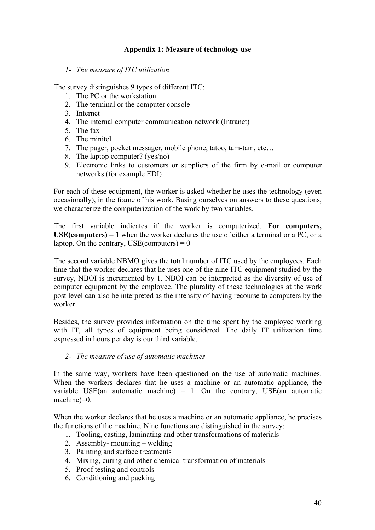## **Appendix 1: Measure of technology use**

#### *1- The measure of ITC utilization*

The survey distinguishes 9 types of different ITC:

- 1. The PC or the workstation
- 2. The terminal or the computer console
- 3. Internet
- 4. The internal computer communication network (Intranet)
- 5. The fax
- 6. The minitel
- 7. The pager, pocket messager, mobile phone, tatoo, tam-tam, etc…
- 8. The laptop computer? (yes/no)
- 9. Electronic links to customers or suppliers of the firm by e-mail or computer networks (for example EDI)

For each of these equipment, the worker is asked whether he uses the technology (even occasionally), in the frame of his work. Basing ourselves on answers to these questions, we characterize the computerization of the work by two variables.

The first variable indicates if the worker is computerized. **For computers, USE(computers) = 1** when the worker declares the use of either a terminal or a PC, or a laptop. On the contrary,  $USE$ (computers) = 0

The second variable NBMO gives the total number of ITC used by the employees. Each time that the worker declares that he uses one of the nine ITC equipment studied by the survey, NBOI is incremented by 1. NBOI can be interpreted as the diversity of use of computer equipment by the employee. The plurality of these technologies at the work post level can also be interpreted as the intensity of having recourse to computers by the worker.

Besides, the survey provides information on the time spent by the employee working with IT, all types of equipment being considered. The daily IT utilization time expressed in hours per day is our third variable.

## *2- The measure of use of automatic machines*

In the same way, workers have been questioned on the use of automatic machines. When the workers declares that he uses a machine or an automatic appliance, the variable USE(an automatic machine) = 1. On the contrary, USE(an automatic machine)=0.

When the worker declares that he uses a machine or an automatic appliance, he precises the functions of the machine. Nine functions are distinguished in the survey:

- 1. Tooling, casting, laminating and other transformations of materials
- 2. Assembly- mounting welding
- 3. Painting and surface treatments
- 4. Mixing, curing and other chemical transformation of materials
- 5. Proof testing and controls
- 6. Conditioning and packing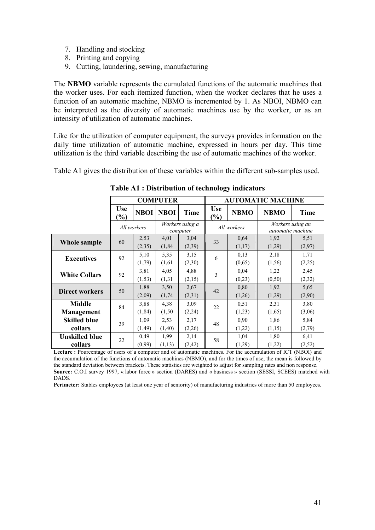- 7. Handling and stocking
- 8. Printing and copying
- 9. Cutting, laundering, sewing, manufacturing

The **NBMO** variable represents the cumulated functions of the automatic machines that the worker uses. For each itemized function, when the worker declares that he uses a function of an automatic machine, NBMO is incremented by 1. As NBOI, NBMO can be interpreted as the diversity of automatic machines use by the worker, or as an intensity of utilization of automatic machines.

Like for the utilization of computer equipment, the surveys provides information on the daily time utilization of automatic machine, expressed in hours per day. This time utilization is the third variable describing the use of automatic machines of the worker.

Table A1 gives the distribution of these variables within the different sub-samples used.

|                       |                             |             | <b>COMPUTER</b> |             | <b>AUTOMATIC MACHINE</b> |                             |             |             |                   |                  |
|-----------------------|-----------------------------|-------------|-----------------|-------------|--------------------------|-----------------------------|-------------|-------------|-------------------|------------------|
|                       | <b>Use</b><br>$\frac{9}{6}$ | <b>NBOI</b> | <b>NBOI</b>     | Time        | <b>Use</b><br>(%)        | <b>NBMO</b>                 | <b>NBMO</b> | <b>Time</b> |                   |                  |
|                       |                             |             |                 | All workers |                          | Workers using a<br>computer |             | All workers | automatic machine | Workers using an |
| Whole sample          | 60                          | 2,53        | 4,01            | 3,04        | 33                       | 0,64                        | 1,92        | 5,51        |                   |                  |
|                       |                             | (2,35)      | (1, 84)         | (2,39)      |                          | (1,17)                      | (1,29)      | (2,97)      |                   |                  |
| <b>Executives</b>     | 92                          | 5,10        | 5,35            | 3,15        | 6                        | 0.13                        | 2,18        | 1,71        |                   |                  |
|                       |                             | (1,79)      | (1,61)          | (2,30)      |                          | (0,65)                      | (1, 56)     | (2,25)      |                   |                  |
| <b>White Collars</b>  | 92                          | 3,81        | 4,05            | 4,88        | 3                        | 0.04                        | 1,22        | 2,45        |                   |                  |
|                       |                             | (1, 53)     | (1, 31)         | (2,15)      |                          | (0,23)                      | (0, 50)     | (2,32)      |                   |                  |
| <b>Direct workers</b> | 50                          | 1,88        | 3,50            | 2,67        | 42                       | 0.80                        | 1,92        | 5,65        |                   |                  |
|                       |                             | (2,09)      | (1, 74)         | (2,31)      |                          | (1,26)                      | (1,29)      | (2,90)      |                   |                  |
| <b>Middle</b>         | 84                          | 3,88        | 4,38            | 3,09        | 22                       | 0,51                        | 2,31        | 3,80        |                   |                  |
| Management            |                             | (1, 84)     | (1, 50)         | (2,24)      |                          | (1,23)                      | (1,65)      | (3,06)      |                   |                  |
| <b>Skilled blue</b>   | 39                          | 1,09        | 2,53            | 2,17        | 48                       | 0,90                        | 1,86        | 5,84        |                   |                  |
| collars               |                             | (1, 49)     | (1,40)          | (2,26)      |                          | (1,22)                      | (1,15)      | (2,79)      |                   |                  |
| <b>Unskilled blue</b> | 22                          | 0,49        | 1,99            | 2,14        | 58                       | 1,04                        | 1,80        | 6,41        |                   |                  |
| collars               |                             | (0,99)      | (1,13)          | (2, 42)     |                          | (1,29)                      | (1,22)      | (2,52)      |                   |                  |

**Table A1 : Distribution of technology indicators** 

Lecture : Pourcentage of users of a computer and of automatic machines. For the accumulation of ICT (NBOI) and the accumulation of the functions of automatic machines (NBMO), and for the times of use, the mean is followed by the standard deviation between brackets. These statistics are weighted to adjust for sampling rates and non response. **Source:** C.O.I survey 1997, « labor force » section (DARES) and « business » section (SESSI, SCEES) matched with DADS.

**Perimeter:** Stables employees (at least one year of seniority) of manufacturing industries of more than 50 employees.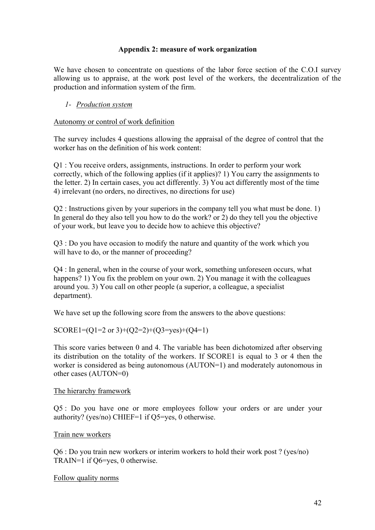#### **Appendix 2: measure of work organization**

We have chosen to concentrate on questions of the labor force section of the C.O.I survey allowing us to appraise, at the work post level of the workers, the decentralization of the production and information system of the firm.

#### *1- Production system*

#### Autonomy or control of work definition

The survey includes 4 questions allowing the appraisal of the degree of control that the worker has on the definition of his work content:

Q1 : You receive orders, assignments, instructions. In order to perform your work correctly, which of the following applies (if it applies)? 1) You carry the assignments to the letter. 2) In certain cases, you act differently. 3) You act differently most of the time 4) irrelevant (no orders, no directives, no directions for use)

Q2 : Instructions given by your superiors in the company tell you what must be done. 1) In general do they also tell you how to do the work? or 2) do they tell you the objective of your work, but leave you to decide how to achieve this objective?

Q3 : Do you have occasion to modify the nature and quantity of the work which you will have to do, or the manner of proceeding?

Q4 : In general, when in the course of your work, something unforeseen occurs, what happens? 1) You fix the problem on your own. 2) You manage it with the colleagues around you. 3) You call on other people (a superior, a colleague, a specialist department).

We have set up the following score from the answers to the above questions:

## SCORE1= $(O1=2 \text{ or } 3)+(O2=2)+(O3=ves)+(O4=1)$

This score varies between 0 and 4. The variable has been dichotomized after observing its distribution on the totality of the workers. If SCORE1 is equal to 3 or 4 then the worker is considered as being autonomous (AUTON=1) and moderately autonomous in other cases (AUTON=0)

#### The hierarchy framework

Q5 : Do you have one or more employees follow your orders or are under your authority? (yes/no) CHIEF=1 if Q5=yes, 0 otherwise.

#### Train new workers

Q6 : Do you train new workers or interim workers to hold their work post ? (yes/no) TRAIN=1 if Q6=yes, 0 otherwise.

#### Follow quality norms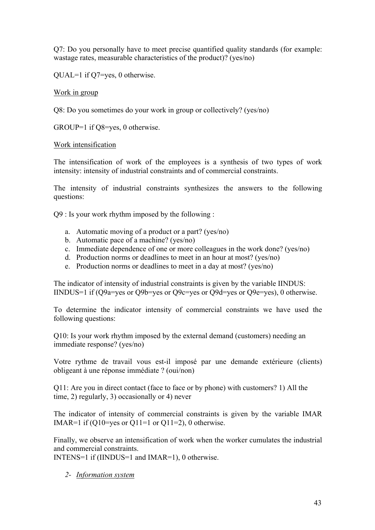Q7: Do you personally have to meet precise quantified quality standards (for example: wastage rates, measurable characteristics of the product)? (yes/no)

QUAL=1 if Q7=yes, 0 otherwise.

Work in group

Q8: Do you sometimes do your work in group or collectively? (yes/no)

GROUP=1 if Q8=yes, 0 otherwise.

#### Work intensification

The intensification of work of the employees is a synthesis of two types of work intensity: intensity of industrial constraints and of commercial constraints.

The intensity of industrial constraints synthesizes the answers to the following questions:

Q9 : Is your work rhythm imposed by the following :

- a. Automatic moving of a product or a part? (yes/no)
- b. Automatic pace of a machine? (yes/no)
- c. Immediate dependence of one or more colleagues in the work done? (yes/no)
- d. Production norms or deadlines to meet in an hour at most? (yes/no)
- e. Production norms or deadlines to meet in a day at most? (yes/no)

The indicator of intensity of industrial constraints is given by the variable IINDUS: IINDUS=1 if (Q9a=yes or Q9b=yes or Q9c=yes or Q9d=yes or Q9e=yes), 0 otherwise.

To determine the indicator intensity of commercial constraints we have used the following questions:

Q10: Is your work rhythm imposed by the external demand (customers) needing an immediate response? (yes/no)

Votre rythme de travail vous est-il imposé par une demande extérieure (clients) obligeant à une réponse immédiate ? (oui/non)

Q11: Are you in direct contact (face to face or by phone) with customers? 1) All the time, 2) regularly, 3) occasionally or 4) never

The indicator of intensity of commercial constraints is given by the variable IMAR IMAR=1 if  $(Q10=yes$  or  $Q11=1$  or  $Q11=2$ ), 0 otherwise.

Finally, we observe an intensification of work when the worker cumulates the industrial and commercial constraints.

INTENS=1 if (IINDUS=1 and IMAR=1), 0 otherwise.

*2- Information system*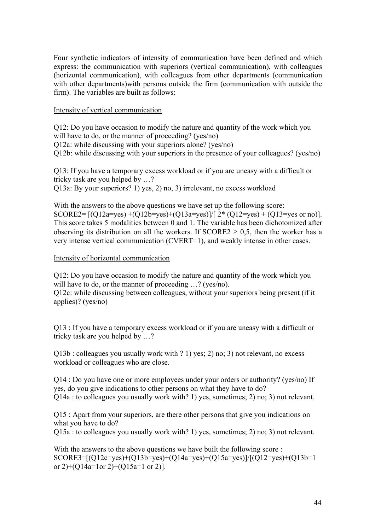Four synthetic indicators of intensity of communication have been defined and which express: the communication with superiors (vertical communication), with colleagues (horizontal communication), with colleagues from other departments (communication with other departments)with persons outside the firm (communication with outside the firm). The variables are built as follows:

#### Intensity of vertical communication

Q12: Do you have occasion to modify the nature and quantity of the work which you will have to do, or the manner of proceeding? (yes/no)

Q12a: while discussing with your superiors alone? (yes/no)

Q12b: while discussing with your superiors in the presence of your colleagues? (yes/no)

Q13: If you have a temporary excess workload or if you are uneasy with a difficult or tricky task are you helped by …?

Q13a: By your superiors? 1) yes, 2) no, 3) irrelevant, no excess workload

With the answers to the above questions we have set up the following score: SCORE2=  $[(Q12a=yes)+(Q12b=yes)+(Q13a=yes)]/[2*(Q12=yes)+(Q13=yes or no)].$ This score takes 5 modalities between 0 and 1. The variable has been dichotomized after observing its distribution on all the workers. If  $SCORE2 \ge 0.5$ , then the worker has a very intense vertical communication (CVERT=1), and weakly intense in other cases.

#### Intensity of horizontal communication

Q12: Do you have occasion to modify the nature and quantity of the work which you will have to do, or the manner of proceeding ...? (yes/no).

Q12c: while discussing between colleagues, without your superiors being present (if it applies)? (yes/no)

Q13 : If you have a temporary excess workload or if you are uneasy with a difficult or tricky task are you helped by …?

Q13b : colleagues you usually work with ? 1) yes; 2) no; 3) not relevant, no excess workload or colleagues who are close.

 $Q14$ : Do you have one or more employees under your orders or authority? (yes/no) If yes, do you give indications to other persons on what they have to do? Q14a : to colleagues you usually work with? 1) yes, sometimes; 2) no; 3) not relevant.

Q15 : Apart from your superiors, are there other persons that give you indications on what you have to do?

Q15a : to colleagues you usually work with? 1) yes, sometimes; 2) no; 3) not relevant.

With the answers to the above questions we have built the following score : SCORE3=[(Q12c=yes)+(Q13b=yes)+(Q14a=yes)+(Q15a=yes)]/[(Q12=yes)+(Q13b=1 or 2)+( $O14a=1$ or 2)+( $O15a=1$  or 2)].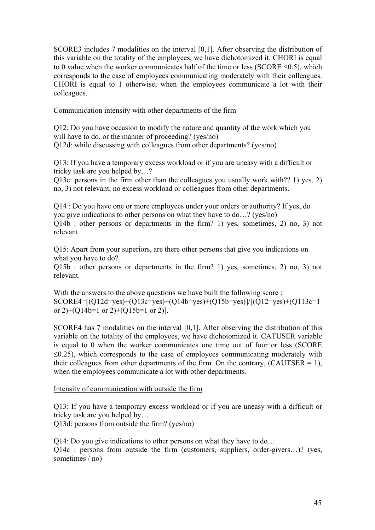SCORE3 includes 7 modalities on the interval [0,1]. After observing the distribution of this variable on the totality of the employees, we have dichotomized it. CHORI is equal to 0 value when the worker communicates half of the time or less  $(SCORE \le 0.5)$ , which corresponds to the case of employees communicating moderately with their colleagues. CHORI is equal to 1 otherwise, when the employees communicate a lot with their colleagues.

#### Communication intensity with other departments of the firm

Q12: Do you have occasion to modify the nature and quantity of the work which you will have to do, or the manner of proceeding? (yes/no) Q12d: while discussing with colleagues from other departments? (yes/no)

Q13: If you have a temporary excess workload or if you are uneasy with a difficult or tricky task are you helped by…?

Q13c: persons in the firm other than the colleagues you usually work with?? 1) yes, 2) no, 3) not relevant, no excess workload or colleagues from other departments.

Q14 : Do you have one or more employees under your orders or authority? If yes, do you give indications to other persons on what they have to do…? (yes/no) Q14b : other persons or departments in the firm? 1) yes, sometimes, 2) no, 3) not relevant.

Q15: Apart from your superiors, are there other persons that give you indications on what you have to do?

Q15b : other persons or departments in the firm? 1) yes, sometimes, 2) no, 3) not relevant.

With the answers to the above questions we have built the following score :  $SCORE4=[(Q12d=yes)+(Q13c=yes)+(Q14b=yes)+(Q15b=yes)]/[(Q12=yes)+(Q113c=1$ or 2 $+(Q14b=1 \text{ or } 2)+(Q15b=1 \text{ or } 2)$ ].

SCORE4 has 7 modalities on the interval [0,1]. After observing the distribution of this variable on the totality of the employees, we have dichotomized it. CATUSER variable is equal to 0 when the worker communicates one time out of four or less (SCORE  $\leq$ 0.25), which corresponds to the case of employees communicating moderately with their colleagues from other departments of the firm. On the contrary,  $(CAUTSER = 1)$ , when the employees communicate a lot with other departments.

#### Intensity of communication with outside the firm

Q13: If you have a temporary excess workload or if you are uneasy with a difficult or tricky task are you helped by…

Q13d: persons from outside the firm? (yes/no)

Q14: Do you give indications to other persons on what they have to do… Q14c : persons from outside the firm (customers, suppliers, order-givers…)? (yes, sometimes / no)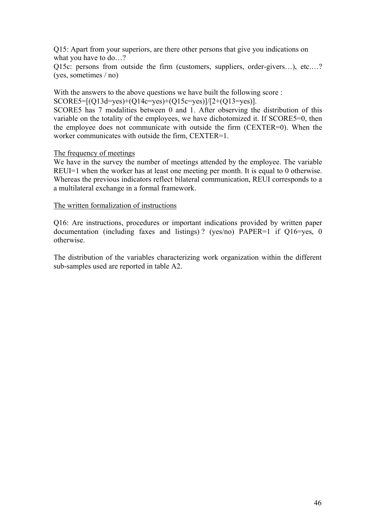Q15: Apart from your superiors, are there other persons that give you indications on what you have to do…?

Q15c: persons from outside the firm (customers, suppliers, order-givers…), etc.…? (yes, sometimes / no)

With the answers to the above questions we have built the following score :

SCORE5= $[(Q13d=yes)+(Q14c=yes)+(Q15c=yes)]/[2+(Q13=yes)].$ 

SCORE5 has 7 modalities between 0 and 1. After observing the distribution of this variable on the totality of the employees, we have dichotomized it. If SCORE5=0, then the employee does not communicate with outside the firm (CEXTER=0). When the worker communicates with outside the firm, CEXTER=1.

#### The frequency of meetings

We have in the survey the number of meetings attended by the employee. The variable REUI=1 when the worker has at least one meeting per month. It is equal to 0 otherwise. Whereas the previous indicators reflect bilateral communication, REUI corresponds to a a multilateral exchange in a formal framework.

#### The written formalization of instructions

Q16: Are instructions, procedures or important indications provided by written paper documentation (including faxes and listings) ? (yes/no) PAPER=1 if Q16=yes, 0 otherwise.

The distribution of the variables characterizing work organization within the different sub-samples used are reported in table A2.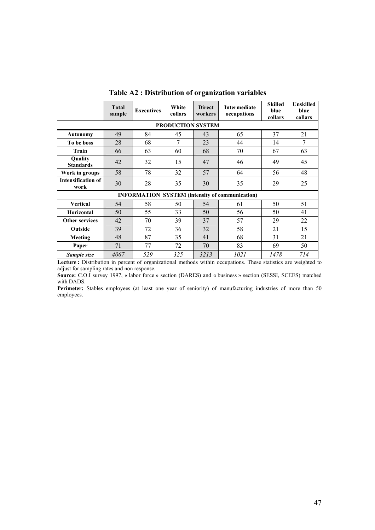|                                   | <b>Total</b><br>sample | <b>Executives</b> | White<br>collars | <b>Direct</b><br>workers | Intermediate<br>occupations                            | <b>Skilled</b><br>blue<br>collars | <b>Unskilled</b><br>blue<br>collars |  |  |  |  |  |
|-----------------------------------|------------------------|-------------------|------------------|--------------------------|--------------------------------------------------------|-----------------------------------|-------------------------------------|--|--|--|--|--|
| <b>PRODUCTION SYSTEM</b>          |                        |                   |                  |                          |                                                        |                                   |                                     |  |  |  |  |  |
| <b>Autonomy</b>                   | 49                     | 84                | 45               | 43                       | 65                                                     | 37                                | 21                                  |  |  |  |  |  |
| To be boss                        | 28                     | 68                | 7                | 23                       | 44                                                     | 14                                | 7                                   |  |  |  |  |  |
| Train                             | 66                     | 63                | 60               | 68                       | 70                                                     | 67                                | 63                                  |  |  |  |  |  |
| Quality<br><b>Standards</b>       | 42                     | 32                | 15               | 47                       | 46                                                     | 49                                | 45                                  |  |  |  |  |  |
| Work in groups                    | 58                     | 78                | 32               | 57                       | 64                                                     | 56                                | 48                                  |  |  |  |  |  |
| <b>Intensification of</b><br>work | 30                     | 28                | 35               | 30                       | 35                                                     | 29                                | 25                                  |  |  |  |  |  |
|                                   |                        |                   |                  |                          | <b>INFORMATION SYSTEM (intensity of communication)</b> |                                   |                                     |  |  |  |  |  |
| <b>Vertical</b>                   | 54                     | 58                | 50               | 54                       | 61                                                     | 50                                | 51                                  |  |  |  |  |  |
| Horizontal                        | 50                     | 55                | 33               | 50                       | 56                                                     | 50                                | 41                                  |  |  |  |  |  |
| <b>Other services</b>             | 42                     | 70                | 39               | 37                       | 57                                                     | 29                                | 22                                  |  |  |  |  |  |
| Outside                           | 39                     | 72                | 36               | 32                       | 58                                                     | 21                                | 15                                  |  |  |  |  |  |
| Meeting                           | 48                     | 87                | 35               | 41                       | 68                                                     | 31                                | 21                                  |  |  |  |  |  |
| Paper                             | 71                     | 77                | 72               | 70                       | 83                                                     | 69                                | 50                                  |  |  |  |  |  |
| Sample size                       | 4067                   | 529               | 325              | 3213                     | 1021                                                   | 1478                              | 714                                 |  |  |  |  |  |

**Table A2 : Distribution of organization variables** 

Lecture : Distribution in percent of organizational methods within occupations. These statistics are weighted to adjust for sampling rates and non response.

**Source:** C.O.I survey 1997, « labor force » section (DARES) and « business » section (SESSI, SCEES) matched with DADS.

Perimeter: Stables employees (at least one year of seniority) of manufacturing industries of more than 50 employees.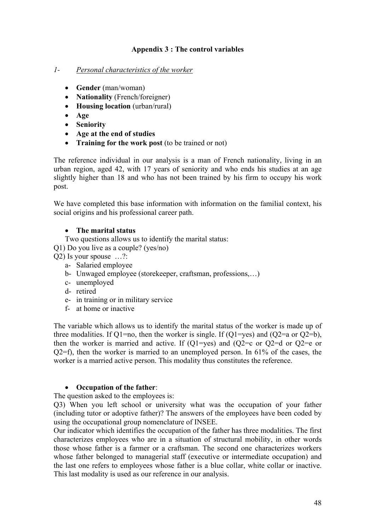# **Appendix 3 : The control variables**

## *1- Personal characteristics of the worker*

- **Gender** (man/woman)
- **Nationality** (French/foreigner)
- **Housing location** (urban/rural)
- **Age**
- **Seniority**
- **Age at the end of studies**
- **Training for the work post** (to be trained or not)

The reference individual in our analysis is a man of French nationality, living in an urban region, aged 42, with 17 years of seniority and who ends his studies at an age slightly higher than 18 and who has not been trained by his firm to occupy his work post.

We have completed this base information with information on the familial context, his social origins and his professional career path.

# • **The marital status**

- Two questions allows us to identify the marital status:
- Q1) Do you live as a couple? (yes/no)

Q2) Is your spouse …?:

- a- Salaried employee
- b- Unwaged employee (storekeeper, craftsman, professions,…)
- c- unemployed
- d- retired
- e- in training or in military service
- f- at home or inactive

The variable which allows us to identify the marital status of the worker is made up of three modalities. If  $Q1=no$ , then the worker is single. If  $(Q1=ves)$  and  $(Q2=a)$  or  $Q2=b$ ), then the worker is married and active. If  $(Q1=yes)$  and  $(Q2=cc)$  or  $Q2=0$  or  $Q2=ec$  or  $Q2=f$ , then the worker is married to an unemployed person. In 61% of the cases, the worker is a married active person. This modality thus constitutes the reference.

## • **Occupation of the father**:

The question asked to the employees is:

Q3) When you left school or university what was the occupation of your father (including tutor or adoptive father)? The answers of the employees have been coded by using the occupational group nomenclature of INSEE.

Our indicator which identifies the occupation of the father has three modalities. The first characterizes employees who are in a situation of structural mobility, in other words those whose father is a farmer or a craftsman. The second one characterizes workers whose father belonged to managerial staff (executive or intermediate occupation) and the last one refers to employees whose father is a blue collar, white collar or inactive. This last modality is used as our reference in our analysis.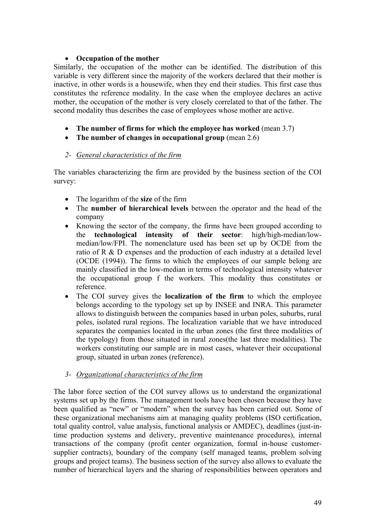## • **Occupation of the mother**

Similarly, the occupation of the mother can be identified. The distribution of this variable is very different since the majority of the workers declared that their mother is inactive, in other words is a housewife, when they end their studies. This first case thus constitutes the reference modality. In the case when the employee declares an active mother, the occupation of the mother is very closely correlated to that of the father. The second modality thus describes the case of employees whose mother are active.

- **The number of firms for which the employee has worked** (mean 3.7)
- **The number of changes in occupational group** (mean 2.6)

## *2- General characteristics of the firm*

The variables characterizing the firm are provided by the business section of the COI survey:

- The logarithm of the **size** of the firm
- The **number of hierarchical levels** between the operator and the head of the company
- Knowing the sector of the company, the firms have been grouped according to the **technological intensity of their sector**: high/high-median/lowmedian/low/FPI. The nomenclature used has been set up by OCDE from the ratio of R & D expenses and the production of each industry at a detailed level (OCDE (1994)). The firms to which the employees of our sample belong are mainly classified in the low-median in terms of technological intensity whatever the occupational group f the workers. This modality thus constitutes or reference.
- The COI survey gives the **localization of the firm** to which the employee belongs according to the typology set up by INSEE and INRA. This parameter allows to distinguish between the companies based in urban poles, suburbs, rural poles, isolated rural regions. The localization variable that we have introduced separates the companies located in the urban zones (the first three modalities of the typology) from those situated in rural zones(the last three modalities). The workers constituting our sample are in most cases, whatever their occupational group, situated in urban zones (reference).
- *3- Organizational characteristics of the firm*

The labor force section of the COI survey allows us to understand the organizational systems set up by the firms. The management tools have been chosen because they have been qualified as "new" or "modern" when the survey has been carried out. Some of these organizational mechanisms aim at managing quality problems (ISO certification, total quality control, value analysis, functional analysis or AMDEC), deadlines (just-intime production systems and delivery, preventive maintenance procedures), internal transactions of the company (profit center organization, formal in-house customersupplier contracts), boundary of the company (self managed teams, problem solving groups and project teams). The business section of the survey also allows to evaluate the number of hierarchical layers and the sharing of responsibilities between operators and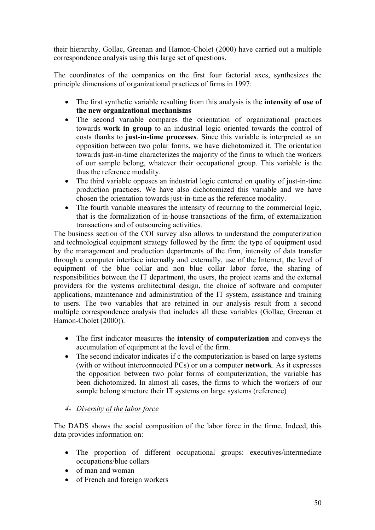their hierarchy. Gollac, Greenan and Hamon-Cholet (2000) have carried out a multiple correspondence analysis using this large set of questions.

The coordinates of the companies on the first four factorial axes, synthesizes the principle dimensions of organizational practices of firms in 1997:

- The first synthetic variable resulting from this analysis is the **intensity of use of the new organizational mechanisms**
- The second variable compares the orientation of organizational practices towards **work in group** to an industrial logic oriented towards the control of costs thanks to **just-in-time processes**. Since this variable is interpreted as an opposition between two polar forms, we have dichotomized it. The orientation towards just-in-time characterizes the majority of the firms to which the workers of our sample belong, whatever their occupational group. This variable is the thus the reference modality.
- The third variable opposes an industrial logic centered on quality of just-in-time production practices. We have also dichotomized this variable and we have chosen the orientation towards just-in-time as the reference modality.
- The fourth variable measures the intensity of recurring to the commercial logic, that is the formalization of in-house transactions of the firm, of externalization transactions and of outsourcing activities.

The business section of the COI survey also allows to understand the computerization and technological equipment strategy followed by the firm: the type of equipment used by the management and production departments of the firm, intensity of data transfer through a computer interface internally and externally, use of the Internet, the level of equipment of the blue collar and non blue collar labor force, the sharing of responsibilities between the IT department, the users, the project teams and the external providers for the systems architectural design, the choice of software and computer applications, maintenance and administration of the IT system, assistance and training to users. The two variables that are retained in our analysis result from a second multiple correspondence analysis that includes all these variables (Gollac, Greenan et Hamon-Cholet (2000)).

- The first indicator measures the **intensity of computerization** and conveys the accumulation of equipment at the level of the firm.
- The second indicator indicates if c the computerization is based on large systems (with or without interconnected PCs) or on a computer **network**. As it expresses the opposition between two polar forms of computerization, the variable has been dichotomized. In almost all cases, the firms to which the workers of our sample belong structure their IT systems on large systems (reference)

# *4- Diversity of the labor force*

The DADS shows the social composition of the labor force in the firme. Indeed, this data provides information on:

- The proportion of different occupational groups: executives/intermediate occupations/blue collars
- of man and woman
- of French and foreign workers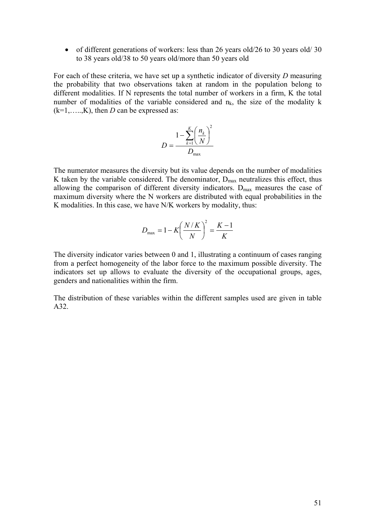• of different generations of workers: less than 26 years old/26 to 30 years old/30 to 38 years old/38 to 50 years old/more than 50 years old

For each of these criteria, we have set up a synthetic indicator of diversity *D* measuring the probability that two observations taken at random in the population belong to different modalities. If N represents the total number of workers in a firm, K the total number of modalities of the variable considered and  $n_k$ , the size of the modality k  $(k=1, \ldots, K)$ , then *D* can be expressed as:

$$
D = \frac{1 - \sum_{k=1}^{K} \left(\frac{n_k}{N}\right)^2}{D_{\text{max}}}
$$

The numerator measures the diversity but its value depends on the number of modalities K taken by the variable considered. The denominator,  $D_{\text{max}}$  neutralizes this effect, thus allowing the comparison of different diversity indicators.  $D_{\text{max}}$  measures the case of maximum diversity where the N workers are distributed with equal probabilities in the K modalities. In this case, we have N/K workers by modality, thus:

$$
D_{\text{max}} = 1 - K \left(\frac{N/K}{N}\right)^2 = \frac{K-1}{K}
$$

The diversity indicator varies between 0 and 1, illustrating a continuum of cases ranging from a perfect homogeneity of the labor force to the maximum possible diversity. The indicators set up allows to evaluate the diversity of the occupational groups, ages, genders and nationalities within the firm.

The distribution of these variables within the different samples used are given in table A32.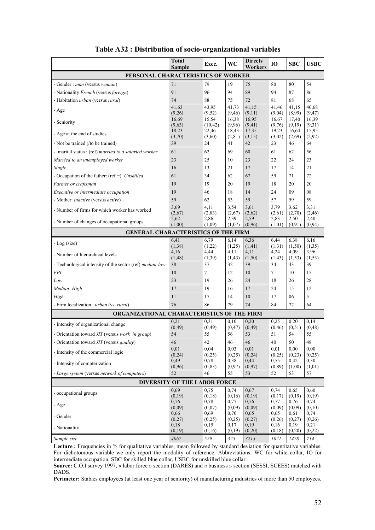|                                                                 | Total<br><b>Sample</b>       | Exec.           | <b>WC</b>        | <b>Directs</b><br>Workers | 10              | <b>SBC</b>      | <b>USBC</b>      |  |  |  |
|-----------------------------------------------------------------|------------------------------|-----------------|------------------|---------------------------|-----------------|-----------------|------------------|--|--|--|
| PERSONAL CHARACTERISTICS OF WORKER                              |                              |                 |                  |                           |                 |                 |                  |  |  |  |
| - Gender : man (versus woman)                                   | 71                           | 79              | 19               | 75                        | 80              | 80              | 54               |  |  |  |
| - Nationality French (versus foreign)                           | 91                           | 96              | 94               | 89                        | 94              | 87              | 86               |  |  |  |
| - Habitation <i>urban</i> (versus <i>rural</i> )                | 74                           | 88              | 75               | 72                        | 81              | 68              | 65               |  |  |  |
| - Age                                                           | 41,63                        | 43,95           | 41,73            | 41,15                     | 41,46           | 41,15           | 40,68            |  |  |  |
|                                                                 | (9,26)<br>16,69              | (9,52)<br>15,54 | (9, 46)<br>16,38 | (9,11)<br>16,95           | (9,04)<br>16.67 | (8,99)<br>17,40 | (9, 47)<br>16,39 |  |  |  |
| - Seniority                                                     | (9,63)                       | (10, 42)        | (9,96)           | (9, 41)                   | (9,76)          | (9,19)          | (9,31)           |  |  |  |
| - Age at the end of studies                                     | 18,23                        | 22,46           | 18,43            | 17,35                     | 19,23           | 16,64           | 15,95            |  |  |  |
| - Not be trained (/to be trained)                               | (3,70)<br>39                 | (3,60)<br>24    | (2, 81)<br>41    | (3,15)<br>42              | (3,02)<br>23    | (2,69)<br>46    | (2,92)<br>64     |  |  |  |
| - marital status : (ref) married to a salaried worker           | 61                           | 62              | 69               | 60                        | 61              | 62              | 56               |  |  |  |
| Married to an unemployed worker                                 | 23                           | 25              | 10               | 23                        | 22              | 24              | 23               |  |  |  |
| Single                                                          | 16                           | 13              | 21               | 17                        | 17              | 14              | 21               |  |  |  |
| - Occupation of the father: $(ref=)$ Unskilled                  | 61                           | 34              | 62               | 67                        | 59              | 71              | 72               |  |  |  |
| Farmer or craftsman                                             | 19                           | 19              | 20               | 19                        | 18              | 20              | 20               |  |  |  |
| Executive or intermediate occupation                            | 19                           | 46              | 18               | 14                        | 24              | 09              | 08               |  |  |  |
| - Mother: <i>inactive</i> (versus <i>active</i> )               | 59                           | 62              | 53               | 59                        | 57              | 59              | 59               |  |  |  |
| - Number of firms for which worker has worked                   | 3.69                         | 4,11            | 3,54             | 3,61                      | 3,79            | 3,62            | 3,31             |  |  |  |
|                                                                 | (2,67)<br>2,62               | (2, 83)<br>2,86 | (2,67)<br>2,39   | (2,62)<br>2,59            | (2,61)<br>2,83  | (2,70)<br>2,50  | (2, 46)<br>2,40  |  |  |  |
| - Number of changes of occupational groups                      | (1,00)                       | (1,09)          | (1,07)           | (0,96)                    | (1,01)          | (0, 91)         | (0, 94)          |  |  |  |
| <b>GENERAL CHARACTERISTICS OF THE FIRM</b>                      |                              |                 |                  |                           |                 |                 |                  |  |  |  |
| - Log (size)                                                    | 6,41                         | 6,79            | 6,14             | 6,36                      | 6,44            | 6,38            | 6,16             |  |  |  |
|                                                                 | (1,38)<br>4,16               | (1,22)<br>4,44  | (1,25)<br>4,11   | (1,41)<br>4,11            | (1,31)<br>4,24  | (1,50)<br>4,09  | (1,35)<br>3,96   |  |  |  |
| - Number of hierarchical levels                                 | (1, 48)                      | (1,39)          | (1, 43)          | (1,50)                    | (1, 43)         | (1, 53)         | (1,53)           |  |  |  |
| - Technological intensity of the sector (ref) <i>median-low</i> | 38                           | 37              | 32               | 39                        | 34              | 43              | 39               |  |  |  |
| <b>FPI</b>                                                      | 10                           | $\tau$          | 12               | 10                        | $\tau$          | 10              | 15               |  |  |  |
| Low                                                             | 23                           | 19              | 26               | 24                        | 18              | 26              | 28               |  |  |  |
| Median-High                                                     | 17                           | 19              | 16               | 17                        | 24              | 15              | 12               |  |  |  |
| High                                                            | 11                           | 17              | 14               | 10                        | 17              | 06              | 5                |  |  |  |
| - Firm localization : urban (vs rural)                          | 76                           | 86              | 79               | 74                        | 84              | 72              | 64               |  |  |  |
| ORGANIZATIONAL CHARACTERISTICS OF THE FIRM                      |                              |                 |                  |                           |                 |                 |                  |  |  |  |
| - Intensity of organizational change                            | 0.21<br>(0, 49)              | 0.31<br>(0, 49) | 0,10<br>(0, 47)  | 0,20<br>(0, 49)           | 0.25<br>(0, 46) | 0,20<br>(0,51)  | 0,14<br>(0, 48)  |  |  |  |
| - Orientation toward <i>JIT</i> (versus <i>work in group</i> )  | 54                           | 55              | 56               | 53                        | 51              | 54              | 55               |  |  |  |
| - Orientation toward JIT (versus quality)                       | 46                           | 42              | 46               | 46                        | $40\,$          | 50              | 48               |  |  |  |
| - Intensity of the commercial logic                             | 0,01                         | 0,04            | 0.03             | 0,01                      | 0,01            | 0,00            | 0.00             |  |  |  |
|                                                                 | (0, 24)<br>0,49              | (0,25)<br>0,78  | (0,25)<br>0,38   | (0, 24)<br>0,44           | (0,25)<br>0,55  | (0,23)<br>0,42  | (0,25)<br>0,30   |  |  |  |
| - Intensity of compterization                                   | (0,96)                       | (0, 83)         | (0,97)           | (0, 97)                   | (0, 89)         | (1,00)          | (1,01)           |  |  |  |
| - Large system (versus network of computers)                    | 52                           | 46              | 55               | 53                        | 52              | 53              | 57               |  |  |  |
|                                                                 | DIVERSITY OF THE LABOR FORCE |                 |                  |                           |                 |                 |                  |  |  |  |
| - occupational groups                                           | 0.69<br>(0,19)               | 0.75<br>(0,18)  | 0,74<br>(0,16)   | 0,67<br>(0,19)            | 0,74<br>(0,17)  | 0,65<br>(0,19)  | 0,60<br>(0,19)   |  |  |  |
|                                                                 | 0,76                         | 0,78            | 0,77             | 0,76                      | 0,77            | 0,76            | 0,74             |  |  |  |
| - Age                                                           | (0,09)                       | (0,07)          | (0,09)           | (0,09)                    | (0,09)          | (0,09)          | (0,10)           |  |  |  |
| - Gender                                                        | 0,66<br>(0,27)               | 0,69<br>(0,25)  | 0,70<br>(0,25)   | 0,65<br>(0,27)            | 0,65<br>(0,26)  | 0,61<br>(0,27)  | 0,74<br>(0,26)   |  |  |  |
| - Nationality                                                   | 0,18                         | 0,15            | 0,17             | 0,19                      | 0,16            | 0,19            | 0,21             |  |  |  |
|                                                                 | (0,19)                       | (0,16)          | (0,19)           | (0,20)                    | (0,18)          | (0,20)          | (0,22)           |  |  |  |
| Sample size                                                     | 4067                         | 529             | 325              | 3213                      | 1021            | 1478            | $714$            |  |  |  |

|  | Table A32 : Distribution of socio-organizational variables |  |
|--|------------------------------------------------------------|--|
|  |                                                            |  |

Lecture : Frequencies in % for qualitative variables, mean followed by standard deviation for quantitative variables. For dichotomous variable we only report the modality of reference. Abbreviations: WC for white collar, IO for intermediate occupation, SBC for skilled blue collar, USBC for unskilled blue collar.

**Source:** C.O.I survey 1997, « labor force » section (DARES) and « business » section (SESSI, SCEES) matched with DADS.

**Perimeter:** Stables employees (at least one year of seniority) of manufacturing industries of more than 50 employees.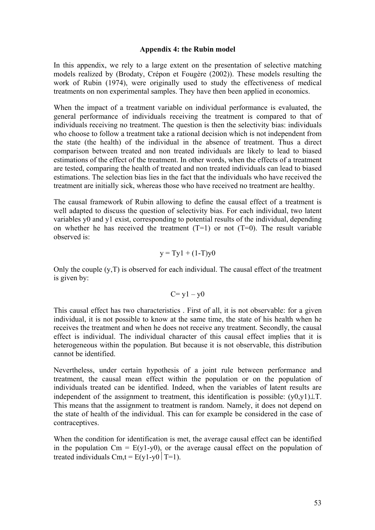#### **Appendix 4: the Rubin model**

In this appendix, we rely to a large extent on the presentation of selective matching models realized by (Brodaty, Crépon et Fougère (2002)). These models resulting the work of Rubin (1974), were originally used to study the effectiveness of medical treatments on non experimental samples. They have then been applied in economics.

When the impact of a treatment variable on individual performance is evaluated, the general performance of individuals receiving the treatment is compared to that of individuals receiving no treatment. The question is then the selectivity bias: individuals who choose to follow a treatment take a rational decision which is not independent from the state (the health) of the individual in the absence of treatment. Thus a direct comparison between treated and non treated individuals are likely to lead to biased estimations of the effect of the treatment. In other words, when the effects of a treatment are tested, comparing the health of treated and non treated individuals can lead to biased estimations. The selection bias lies in the fact that the individuals who have received the treatment are initially sick, whereas those who have received no treatment are healthy.

The causal framework of Rubin allowing to define the causal effect of a treatment is well adapted to discuss the question of selectivity bias. For each individual, two latent variables y0 and y1 exist, corresponding to potential results of the individual, depending on whether he has received the treatment  $(T=1)$  or not  $(T=0)$ . The result variable observed is:

$$
y = Ty1 + (1-T)y0
$$

Only the couple  $(y, T)$  is observed for each individual. The causal effect of the treatment is given by:

$$
C = y1 - y0
$$

This causal effect has two characteristics . First of all, it is not observable: for a given individual, it is not possible to know at the same time, the state of his health when he receives the treatment and when he does not receive any treatment. Secondly, the causal effect is individual. The individual character of this causal effect implies that it is heterogeneous within the population. But because it is not observable, this distribution cannot be identified.

Nevertheless, under certain hypothesis of a joint rule between performance and treatment, the causal mean effect within the population or on the population of individuals treated can be identified. Indeed, when the variables of latent results are independent of the assignment to treatment, this identification is possible:  $(y0,y1)\perp T$ . This means that the assignment to treatment is random. Namely, it does not depend on the state of health of the individual. This can for example be considered in the case of contraceptives.

When the condition for identification is met, the average causal effect can be identified in the population  $Cm = E(y1-y0)$ , or the average causal effect on the population of treated individuals Cm,  $t = E(y1-y0|T=1)$ .